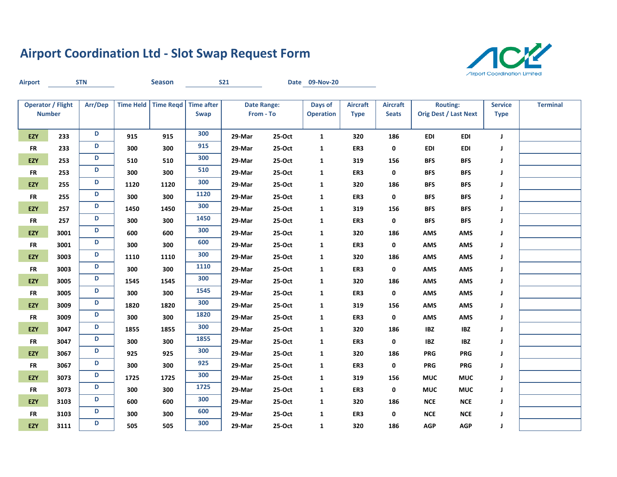## **Airport Coordination Ltd - Slot Swap Request Form**



| <b>Airport</b> |                                           | <b>STN</b> |      | <b>Season</b>       |                                  | <b>S21</b> |                                 | Date 09-Nov-20              |                                |                                 |            |                                                 |                               |                 |
|----------------|-------------------------------------------|------------|------|---------------------|----------------------------------|------------|---------------------------------|-----------------------------|--------------------------------|---------------------------------|------------|-------------------------------------------------|-------------------------------|-----------------|
|                | <b>Operator / Flight</b><br><b>Number</b> | Arr/Dep    |      | Time Held Time Regd | <b>Time after</b><br><b>Swap</b> |            | <b>Date Range:</b><br>From - To | Days of<br><b>Operation</b> | <b>Aircraft</b><br><b>Type</b> | <b>Aircraft</b><br><b>Seats</b> |            | <b>Routing:</b><br><b>Orig Dest / Last Next</b> | <b>Service</b><br><b>Type</b> | <b>Terminal</b> |
| <b>EZY</b>     | 233                                       | D          | 915  | 915                 | 300                              | 29-Mar     | $25-Oct$                        | $\mathbf{1}$                | 320                            | 186                             | <b>EDI</b> | <b>EDI</b>                                      | $\mathsf J$                   |                 |
| ${\sf FR}$     | 233                                       | D          | 300  | 300                 | 915                              | 29-Mar     | 25-Oct                          | $\mathbf{1}$                | ER3                            | 0                               | <b>EDI</b> | EDI                                             | J                             |                 |
| <b>EZY</b>     | 253                                       | D          | 510  | 510                 | 300                              | 29-Mar     | 25-Oct                          | $\mathbf{1}$                | 319                            | 156                             | <b>BFS</b> | <b>BFS</b>                                      | J                             |                 |
| <b>FR</b>      | 253                                       | D          | 300  | 300                 | 510                              | 29-Mar     | 25-Oct                          | $\mathbf{1}$                | ER3                            | 0                               | <b>BFS</b> | <b>BFS</b>                                      | J                             |                 |
| <b>EZY</b>     | 255                                       | D          | 1120 | 1120                | 300                              | 29-Mar     | 25-Oct                          | $\mathbf{1}$                | 320                            | 186                             | <b>BFS</b> | <b>BFS</b>                                      | J                             |                 |
| ${\sf FR}$     | 255                                       | D          | 300  | 300                 | 1120                             | 29-Mar     | 25-Oct                          | $\mathbf{1}$                | ER3                            | 0                               | <b>BFS</b> | <b>BFS</b>                                      | J                             |                 |
| EZY            | 257                                       | D          | 1450 | 1450                | 300                              | 29-Mar     | 25-Oct                          | 1                           | 319                            | 156                             | <b>BFS</b> | <b>BFS</b>                                      | J                             |                 |
| <b>FR</b>      | 257                                       | D          | 300  | 300                 | 1450                             | 29-Mar     | 25-Oct                          | 1                           | ER3                            | 0                               | <b>BFS</b> | <b>BFS</b>                                      | J                             |                 |
| EZY            | 3001                                      | D          | 600  | 600                 | 300                              | 29-Mar     | 25-Oct                          | 1                           | 320                            | 186                             | <b>AMS</b> | <b>AMS</b>                                      | J                             |                 |
| <b>FR</b>      | 3001                                      | D          | 300  | 300                 | 600                              | 29-Mar     | 25-Oct                          | $\mathbf{1}$                | ER3                            | 0                               | <b>AMS</b> | AMS                                             | J                             |                 |
| EZY            | 3003                                      | D          | 1110 | 1110                | 300                              | 29-Mar     | 25-Oct                          | $\mathbf{1}$                | 320                            | 186                             | <b>AMS</b> | AMS                                             | J                             |                 |
| <b>FR</b>      | 3003                                      | D          | 300  | 300                 | 1110                             | 29-Mar     | 25-Oct                          | $\mathbf{1}$                | ER3                            | 0                               | <b>AMS</b> | <b>AMS</b>                                      | J                             |                 |
| <b>EZY</b>     | 3005                                      | D          | 1545 | 1545                | 300                              | 29-Mar     | 25-Oct                          | $\mathbf{1}$                | 320                            | 186                             | <b>AMS</b> | AMS                                             | J                             |                 |
| <b>FR</b>      | 3005                                      | D          | 300  | 300                 | 1545                             | 29-Mar     | 25-Oct                          | $\mathbf{1}$                | ER3                            | 0                               | <b>AMS</b> | AMS                                             | J                             |                 |
| <b>EZY</b>     | 3009                                      | D          | 1820 | 1820                | 300                              | 29-Mar     | 25-Oct                          | $\mathbf{1}$                | 319                            | 156                             | <b>AMS</b> | AMS                                             | J                             |                 |
| <b>FR</b>      | 3009                                      | D          | 300  | 300                 | 1820                             | 29-Mar     | 25-Oct                          | 1                           | ER3                            | 0                               | AMS        | <b>AMS</b>                                      | J                             |                 |
| EZY            | 3047                                      | D          | 1855 | 1855                | 300                              | 29-Mar     | 25-Oct                          | $\mathbf{1}$                | 320                            | 186                             | <b>IBZ</b> | IBZ                                             | J                             |                 |
| <b>FR</b>      | 3047                                      | D          | 300  | 300                 | 1855                             | 29-Mar     | 25-Oct                          | 1                           | ER3                            | 0                               | <b>IBZ</b> | <b>IBZ</b>                                      | J                             |                 |
| EZY            | 3067                                      | D          | 925  | 925                 | 300                              | 29-Mar     | 25-Oct                          | $\mathbf{1}$                | 320                            | 186                             | <b>PRG</b> | <b>PRG</b>                                      | J                             |                 |
| <b>FR</b>      | 3067                                      | D          | 300  | 300                 | 925                              | 29-Mar     | 25-Oct                          | $\mathbf{1}$                | ER3                            | 0                               | <b>PRG</b> | <b>PRG</b>                                      | J                             |                 |
| <b>EZY</b>     | 3073                                      | D          | 1725 | 1725                | 300                              | 29-Mar     | 25-Oct                          | $\mathbf{1}$                | 319                            | 156                             | <b>MUC</b> | <b>MUC</b>                                      | J                             |                 |
| <b>FR</b>      | 3073                                      | D          | 300  | 300                 | 1725                             | 29-Mar     | 25-Oct                          | $\mathbf{1}$                | ER3                            | 0                               | <b>MUC</b> | <b>MUC</b>                                      | J                             |                 |
| <b>EZY</b>     | 3103                                      | D          | 600  | 600                 | 300                              | 29-Mar     | 25-Oct                          | $\mathbf{1}$                | 320                            | 186                             | <b>NCE</b> | <b>NCE</b>                                      | J                             |                 |
| <b>FR</b>      | 3103                                      | D          | 300  | 300                 | 600                              | 29-Mar     | 25-Oct                          | $\mathbf{1}$                | ER3                            | 0                               | <b>NCE</b> | <b>NCE</b>                                      | J                             |                 |
| <b>EZY</b>     | 3111                                      | D          | 505  | 505                 | 300                              | 29-Mar     | 25-Oct                          | $\mathbf{1}$                | 320                            | 186                             | <b>AGP</b> | <b>AGP</b>                                      | J                             |                 |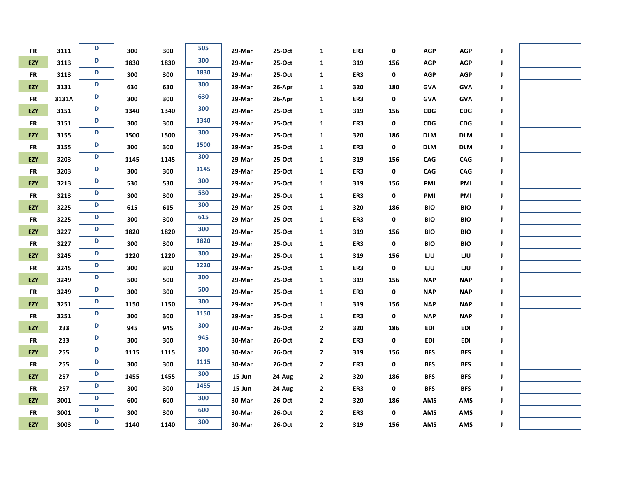| <b>FR</b>  | 3111  | D | 300  | 300  | 505  | 29-Mar     | 25-Oct | 1                       | ER3 | 0   | <b>AGP</b> | $AGP$      | J |  |
|------------|-------|---|------|------|------|------------|--------|-------------------------|-----|-----|------------|------------|---|--|
| EZY        | 3113  | D | 1830 | 1830 | 300  | 29-Mar     | 25-Oct | $\mathbf{1}$            | 319 | 156 | <b>AGP</b> | AGP        | J |  |
| <b>FR</b>  | 3113  | D | 300  | 300  | 1830 | 29-Mar     | 25-Oct | $\mathbf{1}$            | ER3 | 0   | <b>AGP</b> | <b>AGP</b> | J |  |
| EZY        | 3131  | D | 630  | 630  | 300  | 29-Mar     | 26-Apr | $\mathbf{1}$            | 320 | 180 | <b>GVA</b> | <b>GVA</b> | J |  |
| <b>FR</b>  | 3131A | D | 300  | 300  | 630  | 29-Mar     | 26-Apr | $\mathbf{1}$            | ER3 | 0   | <b>GVA</b> | <b>GVA</b> | J |  |
| EZY        | 3151  | D | 1340 | 1340 | 300  | 29-Mar     | 25-Oct | $\mathbf{1}$            | 319 | 156 | CDG        | <b>CDG</b> | J |  |
| <b>FR</b>  | 3151  | D | 300  | 300  | 1340 | 29-Mar     | 25-Oct | 1                       | ER3 | 0   | CDG        | <b>CDG</b> | J |  |
| EZY        | 3155  | D | 1500 | 1500 | 300  | 29-Mar     | 25-Oct | $\mathbf{1}$            | 320 | 186 | <b>DLM</b> | <b>DLM</b> | J |  |
| <b>FR</b>  | 3155  | D | 300  | 300  | 1500 | 29-Mar     | 25-Oct | $\mathbf{1}$            | ER3 | 0   | <b>DLM</b> | <b>DLM</b> | J |  |
| EZY        | 3203  | D | 1145 | 1145 | 300  | 29-Mar     | 25-Oct | 1                       | 319 | 156 | CAG        | CAG        | J |  |
| <b>FR</b>  | 3203  | D | 300  | 300  | 1145 | 29-Mar     | 25-Oct | 1                       | ER3 | 0   | CAG        | CAG        | J |  |
| EZY        | 3213  | D | 530  | 530  | 300  | 29-Mar     | 25-Oct | 1                       | 319 | 156 | PMI        | PMI        | J |  |
| <b>FR</b>  | 3213  | D | 300  | 300  | 530  | 29-Mar     | 25-Oct | 1                       | ER3 | 0   | PMI        | PMI        | J |  |
| EZY        | 3225  | D | 615  | 615  | 300  | 29-Mar     | 25-Oct | $\mathbf{1}$            | 320 | 186 | <b>BIO</b> | <b>BIO</b> | J |  |
| <b>FR</b>  | 3225  | D | 300  | 300  | 615  | 29-Mar     | 25-Oct | $\mathbf{1}$            | ER3 | 0   | <b>BIO</b> | <b>BIO</b> | J |  |
| EZY        | 3227  | D | 1820 | 1820 | 300  | 29-Mar     | 25-Oct | $\mathbf{1}$            | 319 | 156 | <b>BIO</b> | <b>BIO</b> | J |  |
| <b>FR</b>  | 3227  | D | 300  | 300  | 1820 | 29-Mar     | 25-Oct | $\mathbf{1}$            | ER3 | 0   | <b>BIO</b> | <b>BIO</b> | J |  |
| EZY        | 3245  | D | 1220 | 1220 | 300  | 29-Mar     | 25-Oct | $\mathbf{1}$            | 319 | 156 | LJU        | LJU        | J |  |
| <b>FR</b>  | 3245  | D | 300  | 300  | 1220 | 29-Mar     | 25-Oct | $\mathbf{1}$            | ER3 | 0   | LJU        | LJU        | J |  |
| EZY        | 3249  | D | 500  | 500  | 300  | 29-Mar     | 25-Oct | $\mathbf{1}$            | 319 | 156 | <b>NAP</b> | <b>NAP</b> | J |  |
| ${\sf FR}$ | 3249  | D | 300  | 300  | 500  | 29-Mar     | 25-Oct | $\mathbf{1}$            | ER3 | 0   | <b>NAP</b> | <b>NAP</b> | J |  |
| EZY        | 3251  | D | 1150 | 1150 | 300  | 29-Mar     | 25-Oct | 1                       | 319 | 156 | <b>NAP</b> | <b>NAP</b> | J |  |
| <b>FR</b>  | 3251  | D | 300  | 300  | 1150 | 29-Mar     | 25-Oct | 1                       | ER3 | 0   | <b>NAP</b> | <b>NAP</b> | J |  |
| EZY        | 233   | D | 945  | 945  | 300  | 30-Mar     | 26-Oct | $\overline{\mathbf{2}}$ | 320 | 186 | <b>EDI</b> | <b>EDI</b> | J |  |
| <b>FR</b>  | 233   | D | 300  | 300  | 945  | 30-Mar     | 26-Oct | $\overline{\mathbf{2}}$ | ER3 | 0   | <b>EDI</b> | EDI        | J |  |
| EZY        | 255   | D | 1115 | 1115 | 300  | 30-Mar     | 26-Oct | 2                       | 319 | 156 | <b>BFS</b> | <b>BFS</b> | J |  |
| <b>FR</b>  | 255   | D | 300  | 300  | 1115 | 30-Mar     | 26-Oct | $\mathbf{2}$            | ER3 | 0   | <b>BFS</b> | <b>BFS</b> | J |  |
| EZY        | 257   | D | 1455 | 1455 | 300  | $15 - Jun$ | 24-Aug | $\mathbf{2}$            | 320 | 186 | <b>BFS</b> | <b>BFS</b> | J |  |
| <b>FR</b>  | 257   | D | 300  | 300  | 1455 | $15 - Jun$ | 24-Aug | 2                       | ER3 | 0   | <b>BFS</b> | <b>BFS</b> | J |  |
| EZY        | 3001  | D | 600  | 600  | 300  | 30-Mar     | 26-Oct | 2                       | 320 | 186 | <b>AMS</b> | AMS        | J |  |
| <b>FR</b>  | 3001  | D | 300  | 300  | 600  | 30-Mar     | 26-Oct | 2                       | ER3 | 0   | AMS        | AMS        | J |  |
| EZY        | 3003  | D | 1140 | 1140 | 300  | 30-Mar     | 26-Oct | 2                       | 319 | 156 | <b>AMS</b> | <b>AMS</b> | J |  |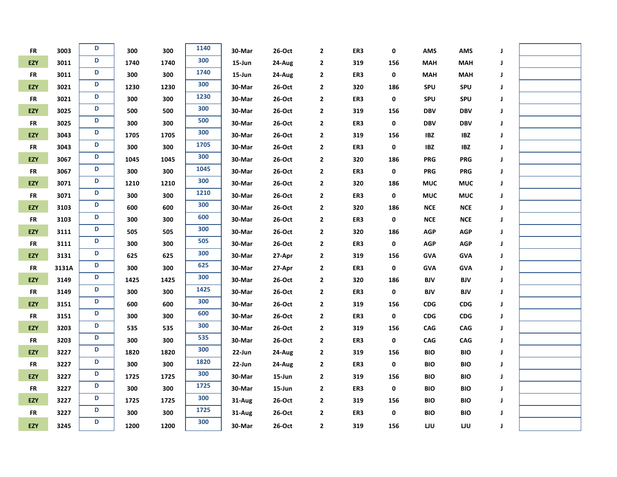| <b>FR</b>  | 3003  | D | 300  | 300  | 1140 | 30-Mar     | $26-Oct$  | 2            | ER3 | 0   | <b>AMS</b> | AMS                         | J |  |
|------------|-------|---|------|------|------|------------|-----------|--------------|-----|-----|------------|-----------------------------|---|--|
| EZY        | 3011  | D | 1740 | 1740 | 300  | $15 - Jun$ | 24-Aug    | $\mathbf 2$  | 319 | 156 | <b>MAH</b> | <b>MAH</b>                  | J |  |
| <b>FR</b>  | 3011  | D | 300  | 300  | 1740 | $15 - Jun$ | 24-Aug    | $\mathbf{2}$ | ER3 | 0   | <b>MAH</b> | <b>MAH</b>                  | J |  |
| EZY        | 3021  | D | 1230 | 1230 | 300  | 30-Mar     | 26-Oct    | $\mathbf{2}$ | 320 | 186 | SPU        | SPU                         | J |  |
| <b>FR</b>  | 3021  | D | 300  | 300  | 1230 | 30-Mar     | 26-Oct    | $\mathbf 2$  | ER3 | 0   | SPU        | SPU                         | J |  |
| EZY        | 3025  | D | 500  | 500  | 300  | 30-Mar     | $26$ -Oct | 2            | 319 | 156 | <b>DBV</b> | <b>DBV</b>                  | J |  |
| <b>FR</b>  | 3025  | D | 300  | 300  | 500  | 30-Mar     | 26-Oct    | 2            | ER3 | 0   | <b>DBV</b> | <b>DBV</b>                  | J |  |
| EZY        | 3043  | D | 1705 | 1705 | 300  | 30-Mar     | 26-Oct    | 2            | 319 | 156 | IBZ        | IBZ                         | J |  |
| <b>FR</b>  | 3043  | D | 300  | 300  | 1705 | 30-Mar     | $26$ -Oct | $\mathbf 2$  | ER3 | 0   | <b>IBZ</b> | $\ensuremath{\mathsf{IBZ}}$ | J |  |
| EZY        | 3067  | D | 1045 | 1045 | 300  | 30-Mar     | 26-Oct    | $\mathbf 2$  | 320 | 186 | <b>PRG</b> | <b>PRG</b>                  | J |  |
| <b>FR</b>  | 3067  | D | 300  | 300  | 1045 | 30-Mar     | 26-Oct    | $\mathbf 2$  | ER3 | 0   | <b>PRG</b> | <b>PRG</b>                  | J |  |
| EZY        | 3071  | D | 1210 | 1210 | 300  | 30-Mar     | $26$ -Oct | 2            | 320 | 186 | <b>MUC</b> | <b>MUC</b>                  | J |  |
| <b>FR</b>  | 3071  | D | 300  | 300  | 1210 | 30-Mar     | 26-Oct    | 2            | ER3 | 0   | <b>MUC</b> | <b>MUC</b>                  | J |  |
| EZY        | 3103  | D | 600  | 600  | 300  | 30-Mar     | 26-Oct    | 2            | 320 | 186 | <b>NCE</b> | <b>NCE</b>                  | J |  |
| <b>FR</b>  | 3103  | D | 300  | 300  | 600  | 30-Mar     | 26-Oct    | $\mathbf{2}$ | ER3 | 0   | $NCE$      | ${\sf NCE}$                 | J |  |
| EZY        | 3111  | D | 505  | 505  | 300  | 30-Mar     | 26-Oct    | $\mathbf 2$  | 320 | 186 | <b>AGP</b> | <b>AGP</b>                  | J |  |
| <b>FR</b>  | 3111  | D | 300  | 300  | 505  | 30-Mar     | 26-Oct    | $\mathbf 2$  | ER3 | 0   | <b>AGP</b> | <b>AGP</b>                  | J |  |
| EZY        | 3131  | D | 625  | 625  | 300  | 30-Mar     | 27-Apr    | 2            | 319 | 156 | <b>GVA</b> | <b>GVA</b>                  | J |  |
| <b>FR</b>  | 3131A | D | 300  | 300  | 625  | 30-Mar     | 27-Apr    | 2            | ER3 | 0   | <b>GVA</b> | <b>GVA</b>                  | J |  |
| EZY        | 3149  | D | 1425 | 1425 | 300  | 30-Mar     | 26-Oct    | $\mathbf{2}$ | 320 | 186 | <b>BJV</b> | BJV                         | J |  |
| <b>FR</b>  | 3149  | D | 300  | 300  | 1425 | 30-Mar     | 26-Oct    | $\mathbf{2}$ | ER3 | 0   | <b>BJV</b> | BJV                         | J |  |
| <b>EZY</b> | 3151  | D | 600  | 600  | 300  | 30-Mar     | 26-Oct    | $\mathbf 2$  | 319 | 156 | CDG        | CDG                         | J |  |
| <b>FR</b>  | 3151  | D | 300  | 300  | 600  | 30-Mar     | 26-Oct    | $\mathbf 2$  | ER3 | 0   | <b>CDG</b> | <b>CDG</b>                  | J |  |
| EZY        | 3203  | D | 535  | 535  | 300  | 30-Mar     | 26-Oct    | 2            | 319 | 156 | <b>CAG</b> | CAG                         | J |  |
| <b>FR</b>  | 3203  | D | 300  | 300  | 535  | 30-Mar     | 26-Oct    | 2            | ER3 | 0   | <b>CAG</b> | CAG                         | J |  |
| EZY        | 3227  | D | 1820 | 1820 | 300  | 22-Jun     | 24-Aug    | 2            | 319 | 156 | <b>BIO</b> | <b>BIO</b>                  | J |  |
| <b>FR</b>  | 3227  | D | 300  | 300  | 1820 | 22-Jun     | 24-Aug    | $\mathbf 2$  | ER3 | 0   | <b>BIO</b> | <b>BIO</b>                  | J |  |
| EZY        | 3227  | D | 1725 | 1725 | 300  | 30-Mar     | 15-Jun    | $\mathbf 2$  | 319 | 156 | <b>BIO</b> | <b>BIO</b>                  | J |  |
| <b>FR</b>  | 3227  | D | 300  | 300  | 1725 | 30-Mar     | 15-Jun    | 2            | ER3 | 0   | <b>BIO</b> | <b>BIO</b>                  | J |  |
| EZY        | 3227  | D | 1725 | 1725 | 300  | 31-Aug     | 26-Oct    | 2            | 319 | 156 | <b>BIO</b> | <b>BIO</b>                  | J |  |
| <b>FR</b>  | 3227  | D | 300  | 300  | 1725 | 31-Aug     | 26-Oct    | 2            | ER3 | 0   | <b>BIO</b> | <b>BIO</b>                  | J |  |
| EZY        | 3245  | D | 1200 | 1200 | 300  | 30-Mar     | 26-Oct    | $\mathbf 2$  | 319 | 156 | LJU        | <b>LJU</b>                  | J |  |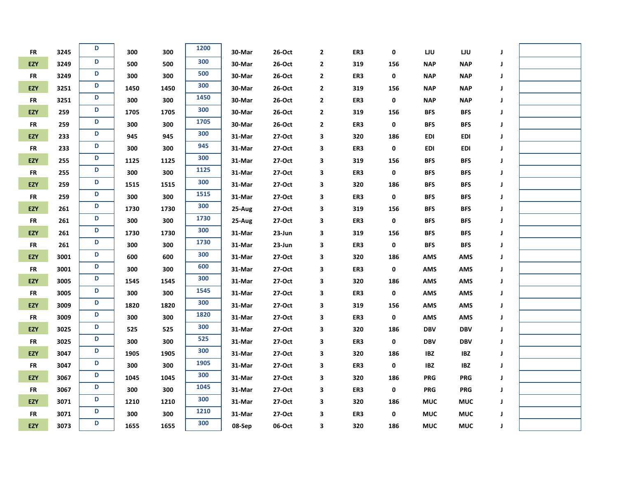| <b>FR</b>  | 3245 | D | 300  | 300  | 1200 | 30-Mar | 26-Oct   | $\mathbf{2}$ | ER3 | 0   | LJU        | IJυ        | J |  |
|------------|------|---|------|------|------|--------|----------|--------------|-----|-----|------------|------------|---|--|
| EZY        | 3249 | D | 500  | 500  | 300  | 30-Mar | 26-Oct   | $\mathbf 2$  | 319 | 156 | <b>NAP</b> | <b>NAP</b> | J |  |
| <b>FR</b>  | 3249 | D | 300  | 300  | 500  | 30-Mar | 26-Oct   | $\mathbf{2}$ | ER3 | 0   | <b>NAP</b> | <b>NAP</b> | J |  |
| EZY        | 3251 | D | 1450 | 1450 | 300  | 30-Mar | 26-Oct   | 2            | 319 | 156 | <b>NAP</b> | <b>NAP</b> | J |  |
| <b>FR</b>  | 3251 | D | 300  | 300  | 1450 | 30-Mar | 26-Oct   | 2            | ER3 | 0   | <b>NAP</b> | <b>NAP</b> | J |  |
| <b>EZY</b> | 259  | D | 1705 | 1705 | 300  | 30-Mar | 26-Oct   | $\mathbf{2}$ | 319 | 156 | <b>BFS</b> | <b>BFS</b> | J |  |
| <b>FR</b>  | 259  | D | 300  | 300  | 1705 | 30-Mar | 26-Oct   | $\mathbf 2$  | ER3 | 0   | <b>BFS</b> | <b>BFS</b> | J |  |
| EZY        | 233  | D | 945  | 945  | 300  | 31-Mar | 27-Oct   | 3            | 320 | 186 | <b>EDI</b> | EDI        | J |  |
| <b>FR</b>  | 233  | D | 300  | 300  | 945  | 31-Mar | 27-Oct   | 3            | ER3 | 0   | <b>EDI</b> | <b>EDI</b> | J |  |
| EZY        | 255  | D | 1125 | 1125 | 300  | 31-Mar | 27-Oct   | 3            | 319 | 156 | <b>BFS</b> | <b>BFS</b> | J |  |
| <b>FR</b>  | 255  | D | 300  | 300  | 1125 | 31-Mar | 27-Oct   | 3            | ER3 | 0   | <b>BFS</b> | <b>BFS</b> | J |  |
| EZY        | 259  | D | 1515 | 1515 | 300  | 31-Mar | 27-Oct   | 3            | 320 | 186 | <b>BFS</b> | <b>BFS</b> | J |  |
| ${\sf FR}$ | 259  | D | 300  | 300  | 1515 | 31-Mar | 27-Oct   | 3            | ER3 | 0   | <b>BFS</b> | <b>BFS</b> | J |  |
| EZY        | 261  | D | 1730 | 1730 | 300  | 25-Aug | 27-Oct   | 3            | 319 | 156 | <b>BFS</b> | <b>BFS</b> | J |  |
| FR         | 261  | D | 300  | 300  | 1730 | 25-Aug | 27-Oct   | 3            | ER3 | 0   | <b>BFS</b> | <b>BFS</b> | J |  |
| EZY        | 261  | D | 1730 | 1730 | 300  | 31-Mar | 23-Jun   | 3            | 319 | 156 | <b>BFS</b> | <b>BFS</b> | J |  |
| <b>FR</b>  | 261  | D | 300  | 300  | 1730 | 31-Mar | 23-Jun   | 3            | ER3 | 0   | <b>BFS</b> | <b>BFS</b> | J |  |
| EZY        | 3001 | D | 600  | 600  | 300  | 31-Mar | 27-Oct   | З            | 320 | 186 | <b>AMS</b> | AMS        | J |  |
| FR         | 3001 | D | 300  | 300  | 600  | 31-Mar | 27-Oct   | 3            | ER3 | 0   | <b>AMS</b> | AMS        | J |  |
| EZY        | 3005 | D | 1545 | 1545 | 300  | 31-Mar | 27-Oct   | 3            | 320 | 186 | <b>AMS</b> | AMS        | J |  |
| <b>FR</b>  | 3005 | D | 300  | 300  | 1545 | 31-Mar | 27-Oct   | 3            | ER3 | 0   | <b>AMS</b> | <b>AMS</b> | J |  |
| EZY        | 3009 | D | 1820 | 1820 | 300  | 31-Mar | 27-Oct   | 3            | 319 | 156 | <b>AMS</b> | <b>AMS</b> | J |  |
| <b>FR</b>  | 3009 | D | 300  | 300  | 1820 | 31-Mar | 27-Oct   | 3            | ER3 | 0   | <b>AMS</b> | AMS        | J |  |
| EZY        | 3025 | D | 525  | 525  | 300  | 31-Mar | 27-Oct   | 3            | 320 | 186 | <b>DBV</b> | <b>DBV</b> | J |  |
| FR         | 3025 | D | 300  | 300  | 525  | 31-Mar | 27-Oct   | 3            | ER3 | 0   | <b>DBV</b> | <b>DBV</b> | J |  |
| EZY        | 3047 | D | 1905 | 1905 | 300  | 31-Mar | 27-Oct   | 3            | 320 | 186 | <b>IBZ</b> | IBZ        | J |  |
| <b>FR</b>  | 3047 | D | 300  | 300  | 1905 | 31-Mar | 27-Oct   | 3            | ER3 | 0   | <b>IBZ</b> | <b>IBZ</b> | J |  |
| EZY        | 3067 | D | 1045 | 1045 | 300  | 31-Mar | 27-Oct   | 3            | 320 | 186 | <b>PRG</b> | <b>PRG</b> | J |  |
| <b>FR</b>  | 3067 | D | 300  | 300  | 1045 | 31-Mar | 27-Oct   | 3            | ER3 | 0   | <b>PRG</b> | <b>PRG</b> | J |  |
| EZY        | 3071 | D | 1210 | 1210 | 300  | 31-Mar | 27-Oct   | 3            | 320 | 186 | <b>MUC</b> | <b>MUC</b> | J |  |
| <b>FR</b>  | 3071 | D | 300  | 300  | 1210 | 31-Mar | $27-Oct$ | 3            | ER3 | 0   | <b>MUC</b> | <b>MUC</b> | J |  |
| <b>EZY</b> | 3073 | D | 1655 | 1655 | 300  | 08-Sep | 06-Oct   | 3            | 320 | 186 | <b>MUC</b> | <b>MUC</b> | J |  |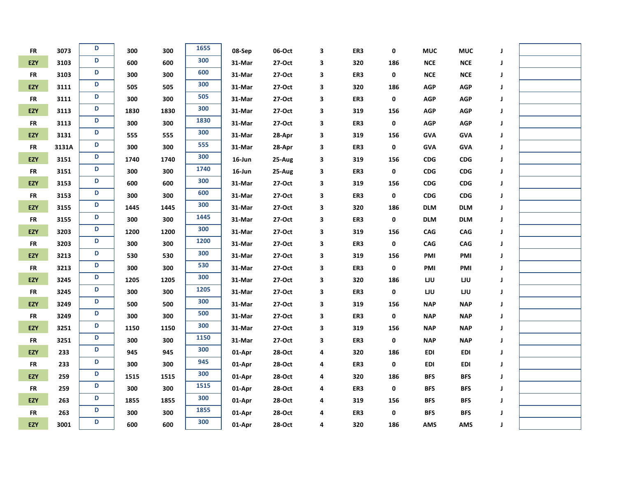| <b>FR</b>  | 3073  | D | 300  | 300  | 1655 | 08-Sep    | 06-Oct | 3 | ER3 | 0   | <b>MUC</b>  | <b>MUC</b>            | J |  |
|------------|-------|---|------|------|------|-----------|--------|---|-----|-----|-------------|-----------------------|---|--|
| EZY        | 3103  | D | 600  | 600  | 300  | 31-Mar    | 27-Oct | 3 | 320 | 186 | $NCE$       | <b>NCE</b>            | J |  |
| <b>FR</b>  | 3103  | D | 300  | 300  | 600  | 31-Mar    | 27-Oct | 3 | ER3 | 0   | $NCE$       | <b>NCE</b>            | J |  |
| EZY        | 3111  | D | 505  | 505  | 300  | 31-Mar    | 27-Oct | 3 | 320 | 186 | <b>AGP</b>  | <b>AGP</b>            | J |  |
| <b>FR</b>  | 3111  | D | 300  | 300  | 505  | 31-Mar    | 27-Oct | 3 | ER3 | 0   | <b>AGP</b>  | <b>AGP</b>            | J |  |
| EZY        | 3113  | D | 1830 | 1830 | 300  | 31-Mar    | 27-Oct | 3 | 319 | 156 | <b>AGP</b>  | <b>AGP</b>            | J |  |
| <b>FR</b>  | 3113  | D | 300  | 300  | 1830 | 31-Mar    | 27-Oct | 3 | ER3 | 0   | <b>AGP</b>  | <b>AGP</b>            | J |  |
| EZY        | 3131  | D | 555  | 555  | 300  | 31-Mar    | 28-Apr | 3 | 319 | 156 | <b>GVA</b>  | <b>GVA</b>            | J |  |
| <b>FR</b>  | 3131A | D | 300  | 300  | 555  | 31-Mar    | 28-Apr | 3 | ER3 | 0   | <b>GVA</b>  | <b>GVA</b>            | J |  |
| <b>EZY</b> | 3151  | D | 1740 | 1740 | 300  | 16-Jun    | 25-Aug | 3 | 319 | 156 | <b>CDG</b>  | <b>CDG</b>            | J |  |
| <b>FR</b>  | 3151  | D | 300  | 300  | 1740 | $16$ -Jun | 25-Aug | 3 | ER3 | 0   | <b>CDG</b>  | $\mathsf{CDG}\xspace$ | J |  |
| EZY        | 3153  | D | 600  | 600  | 300  | 31-Mar    | 27-Oct | 3 | 319 | 156 | ${\sf CDG}$ | ${\sf CDG}$           | J |  |
| <b>FR</b>  | 3153  | D | 300  | 300  | 600  | 31-Mar    | 27-Oct | 3 | ER3 | 0   | CDG         | <b>CDG</b>            | J |  |
| EZY        | 3155  | D | 1445 | 1445 | 300  | 31-Mar    | 27-Oct | 3 | 320 | 186 | <b>DLM</b>  | <b>DLM</b>            | J |  |
| <b>FR</b>  | 3155  | D | 300  | 300  | 1445 | 31-Mar    | 27-Oct | 3 | ER3 | 0   | <b>DLM</b>  | <b>DLM</b>            | J |  |
| EZY        | 3203  | D | 1200 | 1200 | 300  | 31-Mar    | 27-Oct | 3 | 319 | 156 | <b>CAG</b>  | CAG                   | J |  |
| <b>FR</b>  | 3203  | D | 300  | 300  | 1200 | 31-Mar    | 27-Oct | 3 | ER3 | 0   | <b>CAG</b>  | CAG                   | J |  |
| EZY        | 3213  | D | 530  | 530  | 300  | 31-Mar    | 27-Oct | 3 | 319 | 156 | PMI         | PMI                   | J |  |
| <b>FR</b>  | 3213  | D | 300  | 300  | 530  | 31-Mar    | 27-Oct | 3 | ER3 | 0   | PMI         | PMI                   | J |  |
| EZY        | 3245  | D | 1205 | 1205 | 300  | 31-Mar    | 27-Oct | 3 | 320 | 186 | LJU         | LJU                   | J |  |
| <b>FR</b>  | 3245  | D | 300  | 300  | 1205 | 31-Mar    | 27-Oct | 3 | ER3 | 0   | LJU         | LJU                   | J |  |
| EZY        | 3249  | D | 500  | 500  | 300  | 31-Mar    | 27-Oct | 3 | 319 | 156 | <b>NAP</b>  | <b>NAP</b>            | J |  |
| ${\sf FR}$ | 3249  | D | 300  | 300  | 500  | 31-Mar    | 27-Oct | 3 | ER3 | 0   | <b>NAP</b>  | <b>NAP</b>            | J |  |
| EZY        | 3251  | D | 1150 | 1150 | 300  | 31-Mar    | 27-Oct | 3 | 319 | 156 | <b>NAP</b>  | <b>NAP</b>            | J |  |
| <b>FR</b>  | 3251  | D | 300  | 300  | 1150 | 31-Mar    | 27-Oct | 3 | ER3 | 0   | <b>NAP</b>  | <b>NAP</b>            | J |  |
| EZY        | 233   | D | 945  | 945  | 300  | 01-Apr    | 28-Oct | 4 | 320 | 186 | <b>EDI</b>  | EDI                   | J |  |
| <b>FR</b>  | 233   | D | 300  | 300  | 945  | 01-Apr    | 28-Oct | 4 | ER3 | 0   | <b>EDI</b>  | EDI                   | J |  |
| EZY        | 259   | D | 1515 | 1515 | 300  | 01-Apr    | 28-Oct | 4 | 320 | 186 | <b>BFS</b>  | <b>BFS</b>            | J |  |
| <b>FR</b>  | 259   | D | 300  | 300  | 1515 | 01-Apr    | 28-Oct | 4 | ER3 | 0   | <b>BFS</b>  | <b>BFS</b>            | J |  |
| EZY        | 263   | D | 1855 | 1855 | 300  | 01-Apr    | 28-Oct | 4 | 319 | 156 | <b>BFS</b>  | <b>BFS</b>            | J |  |
| <b>FR</b>  | 263   | D | 300  | 300  | 1855 | 01-Apr    | 28-Oct | 4 | ER3 | 0   | <b>BFS</b>  | <b>BFS</b>            | J |  |
| EZY        | 3001  | D | 600  | 600  | 300  | 01-Apr    | 28-Oct | 4 | 320 | 186 | <b>AMS</b>  | <b>AMS</b>            | J |  |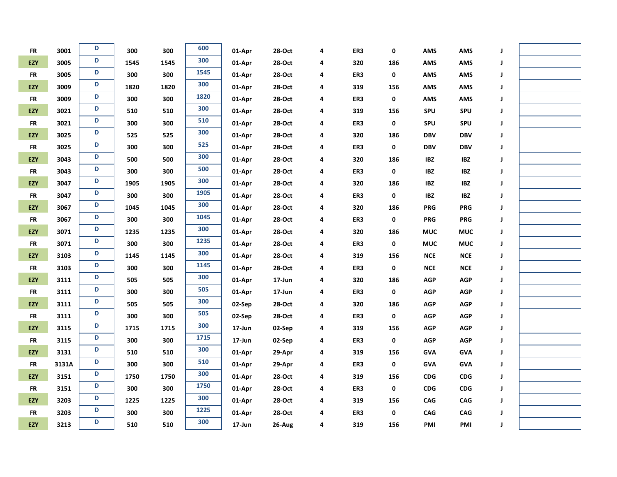| ${\sf FR}$ | 3001  | D | 300  | 300  | 600  | 01-Apr | 28-Oct | 4 | ER3 | 0   | <b>AMS</b>  | <b>AMS</b>  | J |  |
|------------|-------|---|------|------|------|--------|--------|---|-----|-----|-------------|-------------|---|--|
| EZY        | 3005  | D | 1545 | 1545 | 300  | 01-Apr | 28-Oct | 4 | 320 | 186 | <b>AMS</b>  | <b>AMS</b>  | J |  |
| <b>FR</b>  | 3005  | D | 300  | 300  | 1545 | 01-Apr | 28-Oct | 4 | ER3 | 0   | <b>AMS</b>  | <b>AMS</b>  | J |  |
| EZY        | 3009  | D | 1820 | 1820 | 300  | 01-Apr | 28-Oct | 4 | 319 | 156 | <b>AMS</b>  | AMS         | J |  |
| <b>FR</b>  | 3009  | D | 300  | 300  | 1820 | 01-Apr | 28-Oct | 4 | ER3 | 0   | <b>AMS</b>  | <b>AMS</b>  | J |  |
| EZY        | 3021  | D | 510  | 510  | 300  | 01-Apr | 28-Oct | 4 | 319 | 156 | SPU         | <b>SPU</b>  | J |  |
| <b>FR</b>  | 3021  | D | 300  | 300  | 510  | 01-Apr | 28-Oct | 4 | ER3 | 0   | SPU         | <b>SPU</b>  | J |  |
| EZY        | 3025  | D | 525  | 525  | 300  | 01-Apr | 28-Oct | 4 | 320 | 186 | <b>DBV</b>  | <b>DBV</b>  | J |  |
| <b>FR</b>  | 3025  | D | 300  | 300  | 525  | 01-Apr | 28-Oct | 4 | ER3 | 0   | <b>DBV</b>  | <b>DBV</b>  | J |  |
| EZY        | 3043  | D | 500  | 500  | 300  | 01-Apr | 28-Oct | 4 | 320 | 186 | <b>IBZ</b>  | <b>IBZ</b>  | J |  |
| ${\sf FR}$ | 3043  | D | 300  | 300  | 500  | 01-Apr | 28-Oct | 4 | ER3 | 0   | <b>IBZ</b>  | <b>IBZ</b>  | J |  |
| EZY        | 3047  | D | 1905 | 1905 | 300  | 01-Apr | 28-Oct | 4 | 320 | 186 | <b>IBZ</b>  | IBZ         | J |  |
| <b>FR</b>  | 3047  | D | 300  | 300  | 1905 | 01-Apr | 28-Oct | 4 | ER3 | 0   | <b>IBZ</b>  | <b>IBZ</b>  | J |  |
| EZY        | 3067  | D | 1045 | 1045 | 300  | 01-Apr | 28-Oct | 4 | 320 | 186 | <b>PRG</b>  | <b>PRG</b>  | J |  |
| <b>FR</b>  | 3067  | D | 300  | 300  | 1045 | 01-Apr | 28-Oct | 4 | ER3 | 0   | <b>PRG</b>  | <b>PRG</b>  | J |  |
| EZY        | 3071  | D | 1235 | 1235 | 300  | 01-Apr | 28-Oct | 4 | 320 | 186 | <b>MUC</b>  | <b>MUC</b>  | J |  |
| <b>FR</b>  | 3071  | D | 300  | 300  | 1235 | 01-Apr | 28-Oct | 4 | ER3 | 0   | <b>MUC</b>  | <b>MUC</b>  | J |  |
| EZY        | 3103  | D | 1145 | 1145 | 300  | 01-Apr | 28-Oct | 4 | 319 | 156 | ${\sf NCE}$ | ${\sf NCE}$ | J |  |
| <b>FR</b>  | 3103  | D | 300  | 300  | 1145 | 01-Apr | 28-Oct | 4 | ER3 | 0   | <b>NCE</b>  | ${\sf NCE}$ | J |  |
| EZY        | 3111  | D | 505  | 505  | 300  | 01-Apr | 17-Jun | 4 | 320 | 186 | <b>AGP</b>  | <b>AGP</b>  | J |  |
| <b>FR</b>  | 3111  | D | 300  | 300  | 505  | 01-Apr | 17-Jun | 4 | ER3 | 0   | <b>AGP</b>  | <b>AGP</b>  | J |  |
| EZY        | 3111  | D | 505  | 505  | 300  | 02-Sep | 28-Oct | 4 | 320 | 186 | <b>AGP</b>  | <b>AGP</b>  | J |  |
| ${\sf FR}$ | 3111  | D | 300  | 300  | 505  | 02-Sep | 28-Oct | 4 | ER3 | 0   | <b>AGP</b>  | <b>AGP</b>  | J |  |
| EZY        | 3115  | D | 1715 | 1715 | 300  | 17-Jun | 02-Sep | 4 | 319 | 156 | <b>AGP</b>  | AGP         | J |  |
| <b>FR</b>  | 3115  | D | 300  | 300  | 1715 | 17-Jun | 02-Sep | 4 | ER3 | 0   | <b>AGP</b>  | AGP         | J |  |
| EZY        | 3131  | D | 510  | 510  | 300  | 01-Apr | 29-Apr | 4 | 319 | 156 | <b>GVA</b>  | <b>GVA</b>  | J |  |
| <b>FR</b>  | 3131A | D | 300  | 300  | 510  | 01-Apr | 29-Apr | 4 | ER3 | 0   | <b>GVA</b>  | <b>GVA</b>  | J |  |
| EZY        | 3151  | D | 1750 | 1750 | 300  | 01-Apr | 28-Oct | 4 | 319 | 156 | CDG         | CDG         | J |  |
| <b>FR</b>  | 3151  | D | 300  | 300  | 1750 | 01-Apr | 28-Oct | 4 | ER3 | 0   | <b>CDG</b>  | CDG         | J |  |
| EZY        | 3203  | D | 1225 | 1225 | 300  | 01-Apr | 28-Oct | 4 | 319 | 156 | CAG         | CAG         | J |  |
| <b>FR</b>  | 3203  | D | 300  | 300  | 1225 | 01-Apr | 28-Oct | 4 | ER3 | 0   | CAG         | CAG         | J |  |
| EZY        | 3213  | D | 510  | 510  | 300  | 17-Jun | 26-Aug | 4 | 319 | 156 | PMI         | PMI         | J |  |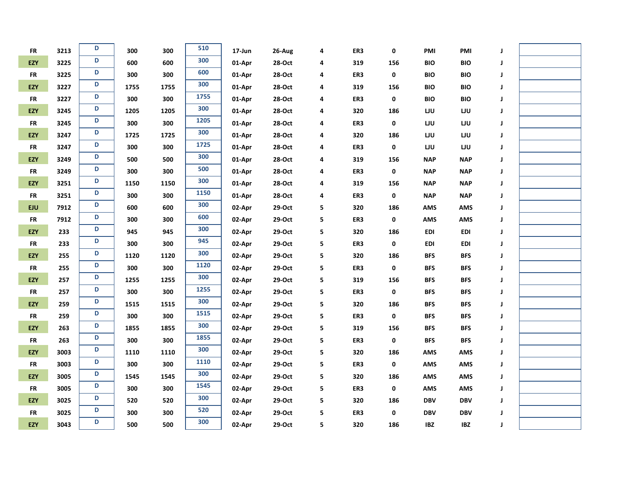| FR         | 3213 | D | 300  | 300  | 510  | 17-Jun | 26-Aug | 4 | ER3 | 0   | PMI        | PMI        | J |  |
|------------|------|---|------|------|------|--------|--------|---|-----|-----|------------|------------|---|--|
| EZY        | 3225 | D | 600  | 600  | 300  | 01-Apr | 28-Oct | 4 | 319 | 156 | <b>BIO</b> | <b>BIO</b> | J |  |
| <b>FR</b>  | 3225 | D | 300  | 300  | 600  | 01-Apr | 28-Oct | 4 | ER3 | 0   | <b>BIO</b> | <b>BIO</b> | J |  |
| EZY        | 3227 | D | 1755 | 1755 | 300  | 01-Apr | 28-Oct | 4 | 319 | 156 | <b>BIO</b> | <b>BIO</b> | J |  |
| <b>FR</b>  | 3227 | D | 300  | 300  | 1755 | 01-Apr | 28-Oct | 4 | ER3 | 0   | <b>BIO</b> | <b>BIO</b> | J |  |
| EZY        | 3245 | D | 1205 | 1205 | 300  | 01-Apr | 28-Oct | 4 | 320 | 186 | LJU        | LJU        | J |  |
| <b>FR</b>  | 3245 | D | 300  | 300  | 1205 | 01-Apr | 28-Oct | 4 | ER3 | 0   | LJU        | LJU        | J |  |
| EZY        | 3247 | D | 1725 | 1725 | 300  | 01-Apr | 28-Oct | 4 | 320 | 186 | LJU        | LJU        | J |  |
| <b>FR</b>  | 3247 | D | 300  | 300  | 1725 | 01-Apr | 28-Oct | 4 | ER3 | 0   | LJU        | LJU        | J |  |
| EZY        | 3249 | D | 500  | 500  | 300  | 01-Apr | 28-Oct | 4 | 319 | 156 | <b>NAP</b> | <b>NAP</b> | J |  |
| <b>FR</b>  | 3249 | D | 300  | 300  | 500  | 01-Apr | 28-Oct | 4 | ER3 | 0   | <b>NAP</b> | <b>NAP</b> | J |  |
| EZY        | 3251 | D | 1150 | 1150 | 300  | 01-Apr | 28-Oct | 4 | 319 | 156 | <b>NAP</b> | <b>NAP</b> | J |  |
| <b>FR</b>  | 3251 | D | 300  | 300  | 1150 | 01-Apr | 28-Oct | 4 | ER3 | 0   | <b>NAP</b> | <b>NAP</b> | J |  |
| EJU        | 7912 | D | 600  | 600  | 300  | 02-Apr | 29-Oct | 5 | 320 | 186 | <b>AMS</b> | <b>AMS</b> | J |  |
| ${\sf FR}$ | 7912 | D | 300  | 300  | 600  | 02-Apr | 29-Oct | 5 | ER3 | 0   | AMS        | AMS        | J |  |
| EZY        | 233  | D | 945  | 945  | 300  | 02-Apr | 29-Oct | 5 | 320 | 186 | <b>EDI</b> | <b>EDI</b> | J |  |
| <b>FR</b>  | 233  | D | 300  | 300  | 945  | 02-Apr | 29-Oct | 5 | ER3 | 0   | <b>EDI</b> | <b>EDI</b> | J |  |
| EZY        | 255  | D | 1120 | 1120 | 300  | 02-Apr | 29-Oct | 5 | 320 | 186 | <b>BFS</b> | <b>BFS</b> | J |  |
| <b>FR</b>  | 255  | D | 300  | 300  | 1120 | 02-Apr | 29-Oct | 5 | ER3 | 0   | <b>BFS</b> | <b>BFS</b> | J |  |
| EZY        | 257  | D | 1255 | 1255 | 300  | 02-Apr | 29-Oct | 5 | 319 | 156 | <b>BFS</b> | <b>BFS</b> | J |  |
| <b>FR</b>  | 257  | D | 300  | 300  | 1255 | 02-Apr | 29-Oct | 5 | ER3 | 0   | <b>BFS</b> | <b>BFS</b> | J |  |
| EZY        | 259  | D | 1515 | 1515 | 300  | 02-Apr | 29-Oct | 5 | 320 | 186 | <b>BFS</b> | <b>BFS</b> | J |  |
| <b>FR</b>  | 259  | D | 300  | 300  | 1515 | 02-Apr | 29-Oct | 5 | ER3 | 0   | <b>BFS</b> | <b>BFS</b> | J |  |
| EZY        | 263  | D | 1855 | 1855 | 300  | 02-Apr | 29-Oct | 5 | 319 | 156 | <b>BFS</b> | <b>BFS</b> | J |  |
| <b>FR</b>  | 263  | D | 300  | 300  | 1855 | 02-Apr | 29-Oct | 5 | ER3 | 0   | <b>BFS</b> | <b>BFS</b> | J |  |
| EZY        | 3003 | D | 1110 | 1110 | 300  | 02-Apr | 29-Oct | 5 | 320 | 186 | <b>AMS</b> | <b>AMS</b> | J |  |
| <b>FR</b>  | 3003 | D | 300  | 300  | 1110 | 02-Apr | 29-Oct | 5 | ER3 | 0   | <b>AMS</b> | AMS        | J |  |
| EZY        | 3005 | D | 1545 | 1545 | 300  | 02-Apr | 29-Oct | 5 | 320 | 186 | <b>AMS</b> | AMS        | J |  |
| <b>FR</b>  | 3005 | D | 300  | 300  | 1545 | 02-Apr | 29-Oct | 5 | ER3 | 0   | <b>AMS</b> | AMS        | J |  |
| EZY        | 3025 | D | 520  | 520  | 300  | 02-Apr | 29-Oct | 5 | 320 | 186 | <b>DBV</b> | <b>DBV</b> | J |  |
| <b>FR</b>  | 3025 | D | 300  | 300  | 520  | 02-Apr | 29-Oct | 5 | ER3 | 0   | <b>DBV</b> | <b>DBV</b> | J |  |
| EZY        | 3043 | D | 500  | 500  | 300  | 02-Apr | 29-Oct | 5 | 320 | 186 | <b>IBZ</b> | <b>IBZ</b> | J |  |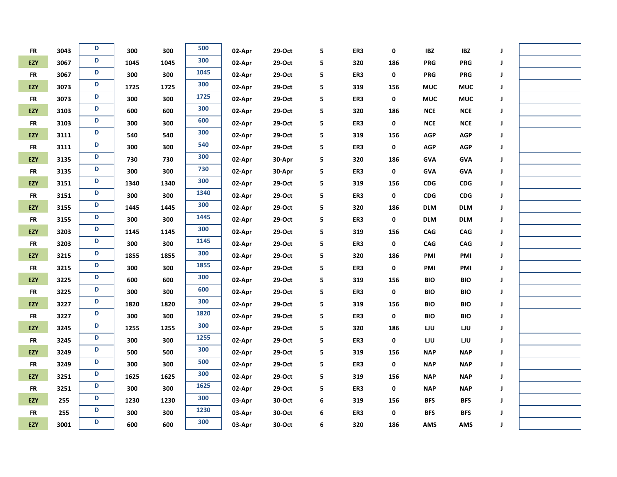| <b>FR</b>  | 3043 | D | 300  | 300  | 500  | 02-Apr | 29-Oct   | 5 | ER3 | 0   | <b>IBZ</b> | <b>IBZ</b>            | J |  |
|------------|------|---|------|------|------|--------|----------|---|-----|-----|------------|-----------------------|---|--|
| EZY        | 3067 | D | 1045 | 1045 | 300  | 02-Apr | 29-Oct   | 5 | 320 | 186 | <b>PRG</b> | <b>PRG</b>            | J |  |
| <b>FR</b>  | 3067 | D | 300  | 300  | 1045 | 02-Apr | 29-Oct   | 5 | ER3 | 0   | <b>PRG</b> | <b>PRG</b>            | J |  |
| EZY        | 3073 | D | 1725 | 1725 | 300  | 02-Apr | 29-Oct   | 5 | 319 | 156 | <b>MUC</b> | <b>MUC</b>            | J |  |
| ${\sf FR}$ | 3073 | D | 300  | 300  | 1725 | 02-Apr | 29-Oct   | 5 | ER3 | 0   | <b>MUC</b> | <b>MUC</b>            | J |  |
| EZY        | 3103 | D | 600  | 600  | 300  | 02-Apr | 29-Oct   | 5 | 320 | 186 | NCE        | NCE                   | J |  |
| <b>FR</b>  | 3103 | D | 300  | 300  | 600  | 02-Apr | 29-Oct   | 5 | ER3 | 0   | <b>NCE</b> | ${\sf NCE}$           | J |  |
| <b>EZY</b> | 3111 | D | 540  | 540  | 300  | 02-Apr | 29-Oct   | 5 | 319 | 156 | <b>AGP</b> | <b>AGP</b>            | J |  |
| <b>FR</b>  | 3111 | D | 300  | 300  | 540  | 02-Apr | 29-Oct   | 5 | ER3 | 0   | <b>AGP</b> | AGP                   | J |  |
| EZY        | 3135 | D | 730  | 730  | 300  | 02-Apr | 30-Apr   | 5 | 320 | 186 | <b>GVA</b> | <b>GVA</b>            | J |  |
| <b>FR</b>  | 3135 | D | 300  | 300  | 730  | 02-Apr | 30-Apr   | 5 | ER3 | 0   | <b>GVA</b> | <b>GVA</b>            | J |  |
| EZY        | 3151 | D | 1340 | 1340 | 300  | 02-Apr | $29-Oct$ | 5 | 319 | 156 | <b>CDG</b> | ${\sf CDG}$           | J |  |
| <b>FR</b>  | 3151 | D | 300  | 300  | 1340 | 02-Apr | 29-Oct   | 5 | ER3 | 0   | CDG        | $\mathsf{CDG}\xspace$ | J |  |
| EZY        | 3155 | D | 1445 | 1445 | 300  | 02-Apr | 29-Oct   | 5 | 320 | 186 | <b>DLM</b> | <b>DLM</b>            | J |  |
| <b>FR</b>  | 3155 | D | 300  | 300  | 1445 | 02-Apr | 29-Oct   | 5 | ER3 | 0   | <b>DLM</b> | <b>DLM</b>            | J |  |
| EZY        | 3203 | D | 1145 | 1145 | 300  | 02-Apr | 29-Oct   | 5 | 319 | 156 | <b>CAG</b> | CAG                   | J |  |
| <b>FR</b>  | 3203 | D | 300  | 300  | 1145 | 02-Apr | 29-Oct   | 5 | ER3 | 0   | <b>CAG</b> | <b>CAG</b>            | J |  |
| EZY        | 3215 | D | 1855 | 1855 | 300  | 02-Apr | 29-Oct   | 5 | 320 | 186 | PMI        | PMI                   | J |  |
| <b>FR</b>  | 3215 | D | 300  | 300  | 1855 | 02-Apr | 29-Oct   | 5 | ER3 | 0   | PMI        | PMI                   | J |  |
| EZY        | 3225 | D | 600  | 600  | 300  | 02-Apr | 29-Oct   | 5 | 319 | 156 | <b>BIO</b> | <b>BIO</b>            | J |  |
| <b>FR</b>  | 3225 | D | 300  | 300  | 600  | 02-Apr | 29-Oct   | 5 | ER3 | 0   | <b>BIO</b> | <b>BIO</b>            | J |  |
| <b>EZY</b> | 3227 | D | 1820 | 1820 | 300  | 02-Apr | 29-Oct   | 5 | 319 | 156 | <b>BIO</b> | <b>BIO</b>            | J |  |
| <b>FR</b>  | 3227 | D | 300  | 300  | 1820 | 02-Apr | 29-Oct   | 5 | ER3 | 0   | <b>BIO</b> | <b>BIO</b>            | J |  |
| EZY        | 3245 | D | 1255 | 1255 | 300  | 02-Apr | 29-Oct   | 5 | 320 | 186 | LJU        | LJU                   | J |  |
| <b>FR</b>  | 3245 | D | 300  | 300  | 1255 | 02-Apr | 29-Oct   | 5 | ER3 | 0   | LJU        | LJU                   | J |  |
| EZY        | 3249 | D | 500  | 500  | 300  | 02-Apr | 29-Oct   | 5 | 319 | 156 | <b>NAP</b> | <b>NAP</b>            | J |  |
| <b>FR</b>  | 3249 | D | 300  | 300  | 500  | 02-Apr | 29-Oct   | 5 | ER3 | 0   | <b>NAP</b> | <b>NAP</b>            | J |  |
| <b>EZY</b> | 3251 | D | 1625 | 1625 | 300  | 02-Apr | 29-Oct   | 5 | 319 | 156 | <b>NAP</b> | <b>NAP</b>            | J |  |
| <b>FR</b>  | 3251 | D | 300  | 300  | 1625 | 02-Apr | 29-Oct   | 5 | ER3 | 0   | <b>NAP</b> | <b>NAP</b>            | J |  |
| EZY        | 255  | D | 1230 | 1230 | 300  | 03-Apr | 30-Oct   | 6 | 319 | 156 | <b>BFS</b> | <b>BFS</b>            | J |  |
| <b>FR</b>  | 255  | D | 300  | 300  | 1230 | 03-Apr | 30-Oct   | 6 | ER3 | 0   | <b>BFS</b> | <b>BFS</b>            | J |  |
| EZY        | 3001 | D | 600  | 600  | 300  | 03-Apr | 30-Oct   | 6 | 320 | 186 | <b>AMS</b> | <b>AMS</b>            | J |  |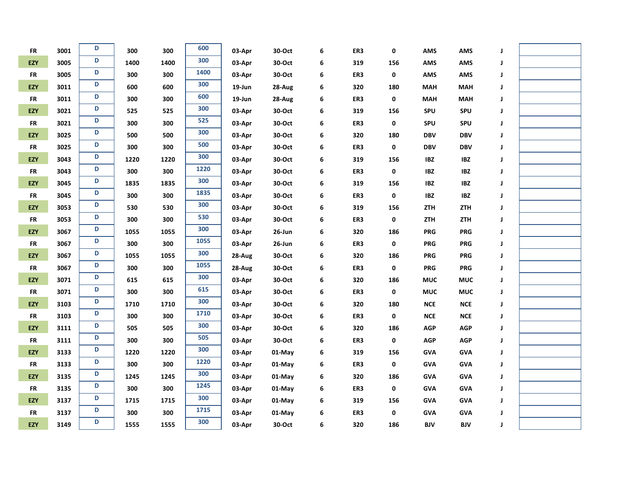| <b>FR</b>  | 3001 | D | 300  | 300  | 600  | 03-Apr    | 30-Oct | 6 | ER3 | 0   | <b>AMS</b>  | AMS         | J |  |
|------------|------|---|------|------|------|-----------|--------|---|-----|-----|-------------|-------------|---|--|
| <b>EZY</b> | 3005 | D | 1400 | 1400 | 300  | 03-Apr    | 30-Oct | 6 | 319 | 156 | <b>AMS</b>  | <b>AMS</b>  | J |  |
| <b>FR</b>  | 3005 | D | 300  | 300  | 1400 | 03-Apr    | 30-Oct | 6 | ER3 | 0   | <b>AMS</b>  | AMS         | J |  |
| EZY        | 3011 | D | 600  | 600  | 300  | 19-Jun    | 28-Aug | 6 | 320 | 180 | <b>MAH</b>  | <b>MAH</b>  | J |  |
| <b>FR</b>  | 3011 | D | 300  | 300  | 600  | $19$ -Jun | 28-Aug | 6 | ER3 | 0   | <b>MAH</b>  | <b>MAH</b>  | J |  |
| EZY        | 3021 | D | 525  | 525  | 300  | 03-Apr    | 30-Oct | 6 | 319 | 156 | SPU         | SPU         | J |  |
| <b>FR</b>  | 3021 | D | 300  | 300  | 525  | 03-Apr    | 30-Oct | 6 | ER3 | 0   | SPU         | <b>SPU</b>  | J |  |
| EZY        | 3025 | D | 500  | 500  | 300  | 03-Apr    | 30-Oct | 6 | 320 | 180 | <b>DBV</b>  | <b>DBV</b>  | J |  |
| <b>FR</b>  | 3025 | D | 300  | 300  | 500  | 03-Apr    | 30-Oct | 6 | ER3 | 0   | <b>DBV</b>  | <b>DBV</b>  | J |  |
| EZY        | 3043 | D | 1220 | 1220 | 300  | 03-Apr    | 30-Oct | 6 | 319 | 156 | <b>IBZ</b>  | <b>IBZ</b>  | J |  |
| <b>FR</b>  | 3043 | D | 300  | 300  | 1220 | 03-Apr    | 30-Oct | 6 | ER3 | 0   | <b>IBZ</b>  | <b>IBZ</b>  | J |  |
| EZY        | 3045 | D | 1835 | 1835 | 300  | 03-Apr    | 30-Oct | 6 | 319 | 156 | <b>IBZ</b>  | <b>IBZ</b>  | J |  |
| <b>FR</b>  | 3045 | D | 300  | 300  | 1835 | 03-Apr    | 30-Oct | 6 | ER3 | 0   | <b>IBZ</b>  | <b>IBZ</b>  | J |  |
| EZY        | 3053 | D | 530  | 530  | 300  | 03-Apr    | 30-Oct | 6 | 319 | 156 | <b>ZTH</b>  | ZTH         | J |  |
| <b>FR</b>  | 3053 | D | 300  | 300  | 530  | 03-Apr    | 30-Oct | 6 | ER3 | 0   | ZTH         | ZTH         | J |  |
| EZY        | 3067 | D | 1055 | 1055 | 300  | 03-Apr    | 26-Jun | 6 | 320 | 186 | <b>PRG</b>  | <b>PRG</b>  | J |  |
| <b>FR</b>  | 3067 | D | 300  | 300  | 1055 | 03-Apr    | 26-Jun | 6 | ER3 | 0   | <b>PRG</b>  | <b>PRG</b>  | J |  |
| <b>EZY</b> | 3067 | D | 1055 | 1055 | 300  | 28-Aug    | 30-Oct | 6 | 320 | 186 | <b>PRG</b>  | PRG         | J |  |
| <b>FR</b>  | 3067 | D | 300  | 300  | 1055 | 28-Aug    | 30-Oct | 6 | ER3 | 0   | <b>PRG</b>  | <b>PRG</b>  | J |  |
| EZY        | 3071 | D | 615  | 615  | 300  | 03-Apr    | 30-Oct | 6 | 320 | 186 | <b>MUC</b>  | <b>MUC</b>  | J |  |
| <b>FR</b>  | 3071 | D | 300  | 300  | 615  | 03-Apr    | 30-Oct | 6 | ER3 | 0   | <b>MUC</b>  | <b>MUC</b>  | J |  |
| EZY        | 3103 | D | 1710 | 1710 | 300  | 03-Apr    | 30-Oct | 6 | 320 | 180 | <b>NCE</b>  | ${\sf NCE}$ | J |  |
| <b>FR</b>  | 3103 | D | 300  | 300  | 1710 | 03-Apr    | 30-Oct | 6 | ER3 | 0   | ${\sf NCE}$ | ${\sf NCE}$ | J |  |
| EZY        | 3111 | D | 505  | 505  | 300  | 03-Apr    | 30-Oct | 6 | 320 | 186 | <b>AGP</b>  | AGP         | J |  |
| <b>FR</b>  | 3111 | D | 300  | 300  | 505  | 03-Apr    | 30-Oct | 6 | ER3 | 0   | <b>AGP</b>  | AGP         | J |  |
| EZY        | 3133 | D | 1220 | 1220 | 300  | 03-Apr    | 01-May | 6 | 319 | 156 | <b>GVA</b>  | <b>GVA</b>  | J |  |
| <b>FR</b>  | 3133 | D | 300  | 300  | 1220 | 03-Apr    | 01-May | 6 | ER3 | 0   | <b>GVA</b>  | <b>GVA</b>  | J |  |
| <b>EZY</b> | 3135 | D | 1245 | 1245 | 300  | 03-Apr    | 01-May | 6 | 320 | 186 | <b>GVA</b>  | <b>GVA</b>  | J |  |
| <b>FR</b>  | 3135 | D | 300  | 300  | 1245 | 03-Apr    | 01-May | 6 | ER3 | 0   | <b>GVA</b>  | <b>GVA</b>  | J |  |
| EZY        | 3137 | D | 1715 | 1715 | 300  | 03-Apr    | 01-May | 6 | 319 | 156 | <b>GVA</b>  | <b>GVA</b>  | J |  |
| <b>FR</b>  | 3137 | D | 300  | 300  | 1715 | 03-Apr    | 01-May | 6 | ER3 | 0   | <b>GVA</b>  | <b>GVA</b>  | J |  |
| EZY        | 3149 | D | 1555 | 1555 | 300  | 03-Apr    | 30-Oct | 6 | 320 | 186 | <b>BJV</b>  | <b>BJV</b>  | J |  |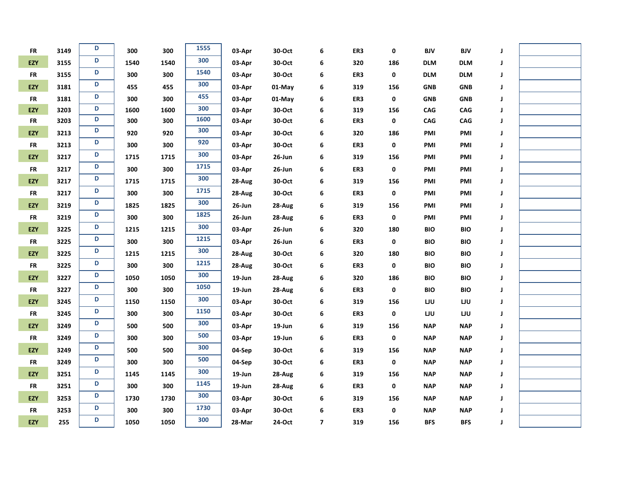| ${\sf FR}$ | 3149 | D | 300  | 300  | 1555 | 03-Apr    | 30-Oct | 6                       | ER3 | 0   | <b>BJV</b> | <b>BJV</b> | J           |  |
|------------|------|---|------|------|------|-----------|--------|-------------------------|-----|-----|------------|------------|-------------|--|
| <b>EZY</b> | 3155 | D | 1540 | 1540 | 300  | 03-Apr    | 30-Oct | 6                       | 320 | 186 | <b>DLM</b> | <b>DLM</b> | J           |  |
| <b>FR</b>  | 3155 | D | 300  | 300  | 1540 | 03-Apr    | 30-Oct | 6                       | ER3 | 0   | <b>DLM</b> | <b>DLM</b> | J           |  |
| EZY        | 3181 | D | 455  | 455  | 300  | 03-Apr    | 01-May | 6                       | 319 | 156 | <b>GNB</b> | <b>GNB</b> | J           |  |
| <b>FR</b>  | 3181 | D | 300  | 300  | 455  | 03-Apr    | 01-May | 6                       | ER3 | 0   | <b>GNB</b> | <b>GNB</b> | J           |  |
| EZY        | 3203 | D | 1600 | 1600 | 300  | 03-Apr    | 30-Oct | 6                       | 319 | 156 | CAG        | CAG        | J           |  |
| <b>FR</b>  | 3203 | D | 300  | 300  | 1600 | 03-Apr    | 30-Oct | 6                       | ER3 | 0   | CAG        | CAG        | J           |  |
| EZY        | 3213 | D | 920  | 920  | 300  | 03-Apr    | 30-Oct | 6                       | 320 | 186 | PMI        | PMI        | J           |  |
| <b>FR</b>  | 3213 | D | 300  | 300  | 920  | 03-Apr    | 30-Oct | 6                       | ER3 | 0   | PMI        | PMI        | $\mathbf J$ |  |
| EZY        | 3217 | D | 1715 | 1715 | 300  | 03-Apr    | 26-Jun | 6                       | 319 | 156 | PMI        | PMI        | J           |  |
| <b>FR</b>  | 3217 | D | 300  | 300  | 1715 | 03-Apr    | 26-Jun | 6                       | ER3 | 0   | PMI        | PMI        | J           |  |
| EZY        | 3217 | D | 1715 | 1715 | 300  | 28-Aug    | 30-Oct | 6                       | 319 | 156 | PMI        | PMI        | J           |  |
| <b>FR</b>  | 3217 | D | 300  | 300  | 1715 | 28-Aug    | 30-Oct | 6                       | ER3 | 0   | PMI        | PMI        | J           |  |
| EZY        | 3219 | D | 1825 | 1825 | 300  | $26$ -Jun | 28-Aug | 6                       | 319 | 156 | PMI        | PMI        | J           |  |
| <b>FR</b>  | 3219 | D | 300  | 300  | 1825 | $26$ -Jun | 28-Aug | 6                       | ER3 | 0   | PMI        | PMI        | $\mathbf J$ |  |
| EZY        | 3225 | D | 1215 | 1215 | 300  | 03-Apr    | 26-Jun | 6                       | 320 | 180 | <b>BIO</b> | <b>BIO</b> | J           |  |
| <b>FR</b>  | 3225 | D | 300  | 300  | 1215 | 03-Apr    | 26-Jun | 6                       | ER3 | 0   | <b>BIO</b> | <b>BIO</b> | J           |  |
| EZY        | 3225 | D | 1215 | 1215 | 300  | 28-Aug    | 30-Oct | 6                       | 320 | 180 | <b>BIO</b> | <b>BIO</b> | J           |  |
| <b>FR</b>  | 3225 | D | 300  | 300  | 1215 | 28-Aug    | 30-Oct | 6                       | ER3 | 0   | <b>BIO</b> | <b>BIO</b> | J           |  |
| EZY        | 3227 | D | 1050 | 1050 | 300  | 19-Jun    | 28-Aug | 6                       | 320 | 186 | <b>BIO</b> | <b>BIO</b> | J           |  |
| <b>FR</b>  | 3227 | D | 300  | 300  | 1050 | 19-Jun    | 28-Aug | 6                       | ER3 | 0   | <b>BIO</b> | <b>BIO</b> | J           |  |
| EZY        | 3245 | D | 1150 | 1150 | 300  | 03-Apr    | 30-Oct | 6                       | 319 | 156 | LJU        | LJU        | J           |  |
| <b>FR</b>  | 3245 | D | 300  | 300  | 1150 | 03-Apr    | 30-Oct | 6                       | ER3 | 0   | LJU        | LJU        | J           |  |
| EZY        | 3249 | D | 500  | 500  | 300  | 03-Apr    | 19-Jun | 6                       | 319 | 156 | <b>NAP</b> | <b>NAP</b> | J           |  |
| <b>FR</b>  | 3249 | D | 300  | 300  | 500  | 03-Apr    | 19-Jun | 6                       | ER3 | 0   | <b>NAP</b> | <b>NAP</b> | J           |  |
| EZY        | 3249 | D | 500  | 500  | 300  | 04-Sep    | 30-Oct | 6                       | 319 | 156 | <b>NAP</b> | <b>NAP</b> | J           |  |
| ${\sf FR}$ | 3249 | D | 300  | 300  | 500  | 04-Sep    | 30-Oct | 6                       | ER3 | 0   | <b>NAP</b> | <b>NAP</b> | J           |  |
| EZY        | 3251 | D | 1145 | 1145 | 300  | $19$ -Jun | 28-Aug | 6                       | 319 | 156 | <b>NAP</b> | <b>NAP</b> | J           |  |
| <b>FR</b>  | 3251 | D | 300  | 300  | 1145 | 19-Jun    | 28-Aug | 6                       | ER3 | 0   | <b>NAP</b> | <b>NAP</b> | J           |  |
| EZY        | 3253 | D | 1730 | 1730 | 300  | 03-Apr    | 30-Oct | 6                       | 319 | 156 | <b>NAP</b> | <b>NAP</b> | J           |  |
| <b>FR</b>  | 3253 | D | 300  | 300  | 1730 | 03-Apr    | 30-Oct | 6                       | ER3 | 0   | <b>NAP</b> | <b>NAP</b> | J           |  |
| EZY        | 255  | D | 1050 | 1050 | 300  | 28-Mar    | 24-Oct | $\overline{\mathbf{z}}$ | 319 | 156 | <b>BFS</b> | <b>BFS</b> | J           |  |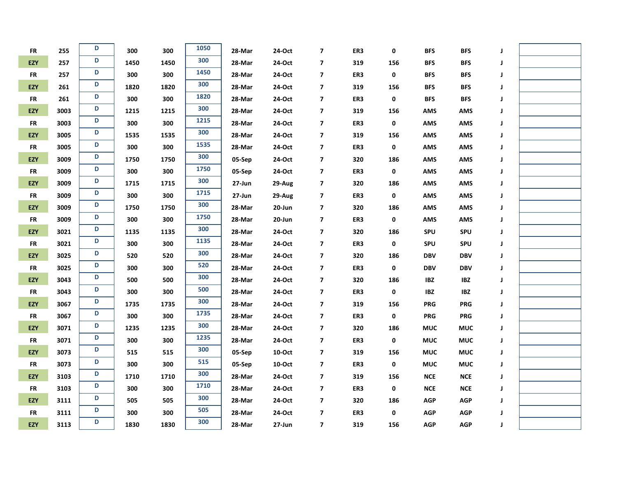| ${\sf FR}$ | 255  | D | 300  | 300  | 1050 | 28-Mar | 24-Oct | $\overline{\mathbf{z}}$ | ER3 | 0   | <b>BFS</b>  | <b>BFS</b>  | J |  |
|------------|------|---|------|------|------|--------|--------|-------------------------|-----|-----|-------------|-------------|---|--|
| EZY        | 257  | D | 1450 | 1450 | 300  | 28-Mar | 24-Oct | $\overline{\mathbf{z}}$ | 319 | 156 | <b>BFS</b>  | <b>BFS</b>  | J |  |
| <b>FR</b>  | 257  | D | 300  | 300  | 1450 | 28-Mar | 24-Oct | $\overline{\mathbf{z}}$ | ER3 | 0   | <b>BFS</b>  | <b>BFS</b>  | J |  |
| EZY        | 261  | D | 1820 | 1820 | 300  | 28-Mar | 24-Oct | $\overline{\mathbf{z}}$ | 319 | 156 | <b>BFS</b>  | <b>BFS</b>  | J |  |
| <b>FR</b>  | 261  | D | 300  | 300  | 1820 | 28-Mar | 24-Oct | $\overline{\mathbf{z}}$ | ER3 | 0   | <b>BFS</b>  | <b>BFS</b>  | J |  |
| EZY        | 3003 | D | 1215 | 1215 | 300  | 28-Mar | 24-Oct | $\overline{\mathbf{z}}$ | 319 | 156 | <b>AMS</b>  | AMS         | J |  |
| <b>FR</b>  | 3003 | D | 300  | 300  | 1215 | 28-Mar | 24-Oct | $\overline{\mathbf{z}}$ | ER3 | 0   | <b>AMS</b>  | <b>AMS</b>  | J |  |
| EZY        | 3005 | D | 1535 | 1535 | 300  | 28-Mar | 24-Oct | $\overline{\mathbf{z}}$ | 319 | 156 | <b>AMS</b>  | AMS         | J |  |
| <b>FR</b>  | 3005 | D | 300  | 300  | 1535 | 28-Mar | 24-Oct | $\overline{\mathbf{z}}$ | ER3 | 0   | <b>AMS</b>  | AMS         | J |  |
| <b>EZY</b> | 3009 | D | 1750 | 1750 | 300  | 05-Sep | 24-Oct | $\overline{\mathbf{z}}$ | 320 | 186 | <b>AMS</b>  | <b>AMS</b>  | J |  |
| <b>FR</b>  | 3009 | D | 300  | 300  | 1750 | 05-Sep | 24-Oct | $\overline{7}$          | ER3 | 0   | <b>AMS</b>  | AMS         | J |  |
| EZY        | 3009 | D | 1715 | 1715 | 300  | 27-Jun | 29-Aug | 7                       | 320 | 186 | <b>AMS</b>  | AMS         | J |  |
| <b>FR</b>  | 3009 | D | 300  | 300  | 1715 | 27-Jun | 29-Aug | $\overline{\mathbf{z}}$ | ER3 | 0   | <b>AMS</b>  | AMS         | J |  |
| EZY        | 3009 | D | 1750 | 1750 | 300  | 28-Mar | 20-Jun | $\overline{\mathbf{z}}$ | 320 | 186 | <b>AMS</b>  | <b>AMS</b>  | J |  |
| <b>FR</b>  | 3009 | D | 300  | 300  | 1750 | 28-Mar | 20-Jun | $\overline{\mathbf{z}}$ | ER3 | 0   | <b>AMS</b>  | AMS         | J |  |
| EZY        | 3021 | D | 1135 | 1135 | 300  | 28-Mar | 24-Oct | $\overline{\mathbf{z}}$ | 320 | 186 | SPU         | <b>SPU</b>  | J |  |
| <b>FR</b>  | 3021 | D | 300  | 300  | 1135 | 28-Mar | 24-Oct | $\overline{\mathbf{z}}$ | ER3 | 0   | SPU         | <b>SPU</b>  | J |  |
| EZY        | 3025 | D | 520  | 520  | 300  | 28-Mar | 24-Oct | $\overline{\mathbf{z}}$ | 320 | 186 | <b>DBV</b>  | <b>DBV</b>  | J |  |
| <b>FR</b>  | 3025 | D | 300  | 300  | 520  | 28-Mar | 24-Oct | $\overline{\mathbf{z}}$ | ER3 | 0   | <b>DBV</b>  | <b>DBV</b>  | J |  |
| EZY        | 3043 | D | 500  | 500  | 300  | 28-Mar | 24-Oct | $\overline{\mathbf{z}}$ | 320 | 186 | <b>IBZ</b>  | <b>IBZ</b>  | J |  |
| ${\sf FR}$ | 3043 | D | 300  | 300  | 500  | 28-Mar | 24-Oct | $\overline{\mathbf{z}}$ | ER3 | 0   | <b>IBZ</b>  | <b>IBZ</b>  | J |  |
| EZY        | 3067 | D | 1735 | 1735 | 300  | 28-Mar | 24-Oct | $\overline{\mathbf{z}}$ | 319 | 156 | <b>PRG</b>  | <b>PRG</b>  | J |  |
| <b>FR</b>  | 3067 | D | 300  | 300  | 1735 | 28-Mar | 24-Oct | $\overline{\mathbf{z}}$ | ER3 | 0   | <b>PRG</b>  | <b>PRG</b>  | J |  |
| EZY        | 3071 | D | 1235 | 1235 | 300  | 28-Mar | 24-Oct | $\overline{\mathbf{z}}$ | 320 | 186 | <b>MUC</b>  | <b>MUC</b>  | J |  |
| FR         | 3071 | D | 300  | 300  | 1235 | 28-Mar | 24-Oct | $\overline{\mathbf{z}}$ | ER3 | 0   | <b>MUC</b>  | <b>MUC</b>  | J |  |
| EZY        | 3073 | D | 515  | 515  | 300  | 05-Sep | 10-Oct | $\overline{\mathbf{z}}$ | 319 | 156 | <b>MUC</b>  | <b>MUC</b>  | J |  |
| <b>FR</b>  | 3073 | D | 300  | 300  | 515  | 05-Sep | 10-Oct | $\overline{\mathbf{z}}$ | ER3 | 0   | <b>MUC</b>  | <b>MUC</b>  | J |  |
| EZY        | 3103 | D | 1710 | 1710 | 300  | 28-Mar | 24-Oct | $\overline{\mathbf{z}}$ | 319 | 156 | ${\sf NCE}$ | ${\sf NCE}$ | J |  |
| <b>FR</b>  | 3103 | D | 300  | 300  | 1710 | 28-Mar | 24-Oct | $\overline{\mathbf{z}}$ | ER3 | 0   | ${\sf NCE}$ | ${\sf NCE}$ | J |  |
| EZY        | 3111 | D | 505  | 505  | 300  | 28-Mar | 24-Oct | $\overline{\mathbf{z}}$ | 320 | 186 | <b>AGP</b>  | <b>AGP</b>  | J |  |
| <b>FR</b>  | 3111 | D | 300  | 300  | 505  | 28-Mar | 24-Oct | $\overline{\mathbf{z}}$ | ER3 | 0   | <b>AGP</b>  | <b>AGP</b>  | J |  |
| EZY        | 3113 | D | 1830 | 1830 | 300  | 28-Mar | 27-Jun | $\overline{\mathbf{z}}$ | 319 | 156 | <b>AGP</b>  | <b>AGP</b>  | J |  |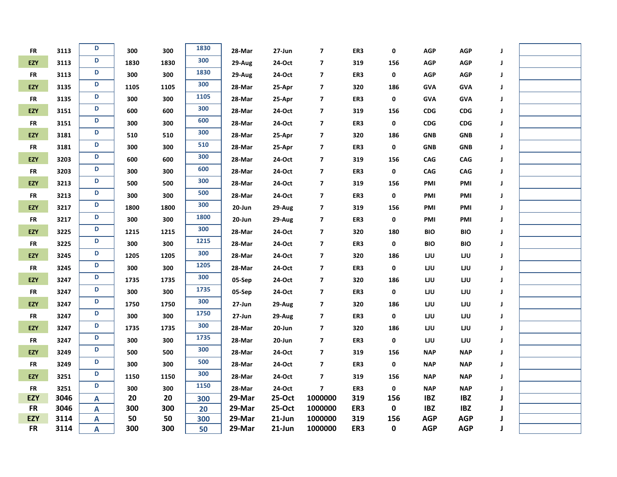| <b>FR</b>  | 3113 | D | 300  | 300  | 1830 | 28-Mar | 27-Jun    | $\overline{\mathbf{z}}$ | ER3 | 0   | <b>AGP</b> | <b>AGP</b> | J |  |
|------------|------|---|------|------|------|--------|-----------|-------------------------|-----|-----|------------|------------|---|--|
| <b>EZY</b> | 3113 | D | 1830 | 1830 | 300  | 29-Aug | 24-Oct    | $\overline{\mathbf{z}}$ | 319 | 156 | <b>AGP</b> | <b>AGP</b> | J |  |
| <b>FR</b>  | 3113 | D | 300  | 300  | 1830 | 29-Aug | 24-Oct    | $\overline{\mathbf{z}}$ | ER3 | 0   | <b>AGP</b> | <b>AGP</b> | J |  |
| EZY        | 3135 | D | 1105 | 1105 | 300  | 28-Mar | 25-Apr    | $\overline{\mathbf{z}}$ | 320 | 186 | <b>GVA</b> | <b>GVA</b> | J |  |
| <b>FR</b>  | 3135 | D | 300  | 300  | 1105 | 28-Mar | 25-Apr    | $\overline{\mathbf{z}}$ | ER3 | 0   | <b>GVA</b> | <b>GVA</b> | J |  |
| EZY        | 3151 | D | 600  | 600  | 300  | 28-Mar | 24-Oct    | $\overline{\mathbf{z}}$ | 319 | 156 | CDG        | CDG        | J |  |
| FR         | 3151 | D | 300  | 300  | 600  | 28-Mar | 24-Oct    | $\overline{\mathbf{z}}$ | ER3 | 0   | CDG        | <b>CDG</b> | J |  |
| EZY        | 3181 | D | 510  | 510  | 300  | 28-Mar | 25-Apr    | $\boldsymbol{7}$        | 320 | 186 | <b>GNB</b> | <b>GNB</b> | J |  |
| <b>FR</b>  | 3181 | D | 300  | 300  | 510  | 28-Mar | 25-Apr    | $\overline{\mathbf{z}}$ | ER3 | 0   | <b>GNB</b> | <b>GNB</b> | J |  |
| EZY        | 3203 | D | 600  | 600  | 300  | 28-Mar | 24-Oct    | $\overline{\mathbf{z}}$ | 319 | 156 | CAG        | CAG        | J |  |
| <b>FR</b>  | 3203 | D | 300  | 300  | 600  | 28-Mar | 24-Oct    | $\overline{\mathbf{z}}$ | ER3 | 0   | CAG        | CAG        | J |  |
| EZY        | 3213 | D | 500  | 500  | 300  | 28-Mar | 24-Oct    | $\overline{\mathbf{z}}$ | 319 | 156 | PMI        | PMI        | J |  |
| <b>FR</b>  | 3213 | D | 300  | 300  | 500  | 28-Mar | 24-Oct    | $\overline{\mathbf{z}}$ | ER3 | 0   | PMI        | PMI        | J |  |
| EZY        | 3217 | D | 1800 | 1800 | 300  | 20-Jun | 29-Aug    | $\boldsymbol{7}$        | 319 | 156 | PMI        | PMI        | J |  |
| <b>FR</b>  | 3217 | D | 300  | 300  | 1800 | 20-Jun | 29-Aug    | $\overline{\mathbf{z}}$ | ER3 | 0   | PMI        | PMI        | J |  |
| EZY        | 3225 | D | 1215 | 1215 | 300  | 28-Mar | 24-Oct    | $\boldsymbol{7}$        | 320 | 180 | <b>BIO</b> | <b>BIO</b> | J |  |
| <b>FR</b>  | 3225 | D | 300  | 300  | 1215 | 28-Mar | 24-Oct    | $\overline{\mathbf{z}}$ | ER3 | 0   | <b>BIO</b> | <b>BIO</b> | J |  |
| EZY        | 3245 | D | 1205 | 1205 | 300  | 28-Mar | 24-Oct    | $\overline{\mathbf{z}}$ | 320 | 186 | LJU        | <b>LJU</b> | J |  |
| <b>FR</b>  | 3245 | D | 300  | 300  | 1205 | 28-Mar | 24-Oct    | $\overline{\mathbf{z}}$ | ER3 | 0   | LJU        | LJU        | J |  |
| <b>EZY</b> | 3247 | D | 1735 | 1735 | 300  | 05-Sep | 24-Oct    | $\overline{\mathbf{z}}$ | 320 | 186 | LJU        | LJU        | J |  |
| <b>FR</b>  | 3247 | D | 300  | 300  | 1735 | 05-Sep | 24-Oct    | $\overline{\mathbf{z}}$ | ER3 | 0   | LJU        | LJU        | J |  |
| <b>EZY</b> | 3247 | D | 1750 | 1750 | 300  | 27-Jun | 29-Aug    | $\overline{\mathbf{z}}$ | 320 | 186 | LJU        | LJU        | J |  |
| <b>FR</b>  | 3247 | D | 300  | 300  | 1750 | 27-Jun | 29-Aug    | $\overline{\mathbf{z}}$ | ER3 | 0   | LJU        | LJU        | J |  |
| EZY        | 3247 | D | 1735 | 1735 | 300  | 28-Mar | 20-Jun    | $\overline{\mathbf{z}}$ | 320 | 186 | LJU        | LJU        | J |  |
| <b>FR</b>  | 3247 | D | 300  | 300  | 1735 | 28-Mar | 20-Jun    | $\overline{\mathbf{z}}$ | ER3 | 0   | LJU        | LJU        | J |  |
| EZY        | 3249 | D | 500  | 500  | 300  | 28-Mar | 24-Oct    | $\overline{\mathbf{z}}$ | 319 | 156 | <b>NAP</b> | <b>NAP</b> | J |  |
| <b>FR</b>  | 3249 | D | 300  | 300  | 500  | 28-Mar | 24-Oct    | $\overline{\mathbf{z}}$ | ER3 | 0   | <b>NAP</b> | <b>NAP</b> | J |  |
| EZY        | 3251 | D | 1150 | 1150 | 300  | 28-Mar | 24-Oct    | $\overline{\mathbf{z}}$ | 319 | 156 | <b>NAP</b> | <b>NAP</b> | J |  |
| <b>FR</b>  | 3251 | D | 300  | 300  | 1150 | 28-Mar | 24-Oct    | $\overline{\mathbf{z}}$ | ER3 | 0   | <b>NAP</b> | <b>NAP</b> | J |  |
| <b>EZY</b> | 3046 | A | 20   | 20   | 300  | 29-Mar | 25-Oct    | 1000000                 | 319 | 156 | <b>IBZ</b> | <b>IBZ</b> | J |  |
| <b>FR</b>  | 3046 | A | 300  | 300  | 20   | 29-Mar | 25-Oct    | 1000000                 | ER3 | 0   | <b>IBZ</b> | <b>IBZ</b> |   |  |
| EZY        | 3114 | A | 50   | 50   | 300  | 29-Mar | $21$ -Jun | 1000000                 | 319 | 156 | <b>AGP</b> | <b>AGP</b> |   |  |
| <b>FR</b>  | 3114 | Α | 300  | 300  | 50   | 29-Mar | $21$ -Jun | 1000000                 | ER3 | 0   | <b>AGP</b> | <b>AGP</b> | J |  |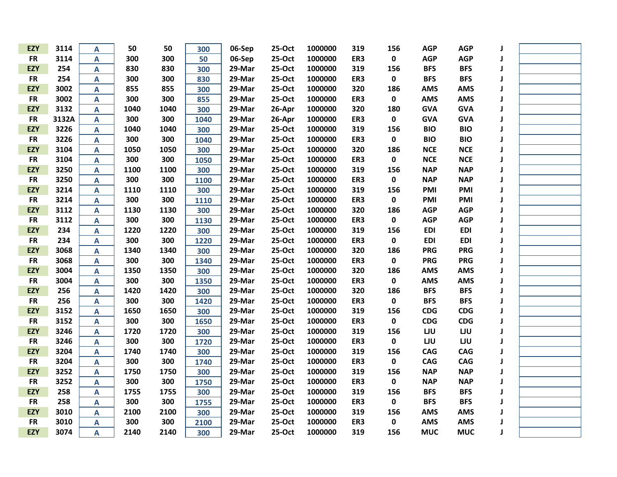| <b>EZY</b> | 3114  | A                         | 50   | 50   | 300  | 06-Sep | 25-Oct | 1000000 | 319 | 156       | <b>AGP</b> | <b>AGP</b> | J |  |
|------------|-------|---------------------------|------|------|------|--------|--------|---------|-----|-----------|------------|------------|---|--|
| <b>FR</b>  | 3114  | A                         | 300  | 300  | 50   | 06-Sep | 25-Oct | 1000000 | ER3 | $\pmb{0}$ | <b>AGP</b> | <b>AGP</b> | J |  |
| <b>EZY</b> | 254   | A                         | 830  | 830  | 300  | 29-Mar | 25-Oct | 1000000 | 319 | 156       | <b>BFS</b> | <b>BFS</b> | J |  |
| <b>FR</b>  | 254   | A                         | 300  | 300  | 830  | 29-Mar | 25-Oct | 1000000 | ER3 | $\pmb{0}$ | <b>BFS</b> | <b>BFS</b> | J |  |
| <b>EZY</b> | 3002  | A                         | 855  | 855  | 300  | 29-Mar | 25-Oct | 1000000 | 320 | 186       | <b>AMS</b> | <b>AMS</b> | J |  |
| <b>FR</b>  | 3002  | A                         | 300  | 300  | 855  | 29-Mar | 25-Oct | 1000000 | ER3 | 0         | <b>AMS</b> | <b>AMS</b> | J |  |
| <b>EZY</b> | 3132  | A                         | 1040 | 1040 | 300  | 29-Mar | 26-Apr | 1000000 | 320 | 180       | <b>GVA</b> | <b>GVA</b> | J |  |
| <b>FR</b>  | 3132A | A                         | 300  | 300  | 1040 | 29-Mar | 26-Apr | 1000000 | ER3 | 0         | <b>GVA</b> | <b>GVA</b> | J |  |
| <b>EZY</b> | 3226  | A                         | 1040 | 1040 | 300  | 29-Mar | 25-Oct | 1000000 | 319 | 156       | <b>BIO</b> | <b>BIO</b> | J |  |
| <b>FR</b>  | 3226  | A                         | 300  | 300  | 1040 | 29-Mar | 25-Oct | 1000000 | ER3 | 0         | <b>BIO</b> | <b>BIO</b> | J |  |
| <b>EZY</b> | 3104  | A                         | 1050 | 1050 | 300  | 29-Mar | 25-Oct | 1000000 | 320 | 186       | <b>NCE</b> | <b>NCE</b> | J |  |
| <b>FR</b>  | 3104  | A                         | 300  | 300  | 1050 | 29-Mar | 25-Oct | 1000000 | ER3 | $\pmb{0}$ | <b>NCE</b> | <b>NCE</b> | J |  |
| <b>EZY</b> | 3250  | A                         | 1100 | 1100 | 300  | 29-Mar | 25-Oct | 1000000 | 319 | 156       | <b>NAP</b> | <b>NAP</b> | J |  |
| <b>FR</b>  | 3250  | A                         | 300  | 300  | 1100 | 29-Mar | 25-Oct | 1000000 | ER3 | 0         | <b>NAP</b> | <b>NAP</b> | J |  |
| <b>EZY</b> | 3214  | A                         | 1110 | 1110 | 300  | 29-Mar | 25-Oct | 1000000 | 319 | 156       | <b>PMI</b> | PMI        | J |  |
| <b>FR</b>  | 3214  | A                         | 300  | 300  | 1110 | 29-Mar | 25-Oct | 1000000 | ER3 | 0         | <b>PMI</b> | PMI        | J |  |
| <b>EZY</b> | 3112  | A                         | 1130 | 1130 | 300  | 29-Mar | 25-Oct | 1000000 | 320 | 186       | <b>AGP</b> | <b>AGP</b> | J |  |
| <b>FR</b>  | 3112  | A                         | 300  | 300  | 1130 | 29-Mar | 25-Oct | 1000000 | ER3 | 0         | <b>AGP</b> | <b>AGP</b> | J |  |
| <b>EZY</b> | 234   | A                         | 1220 | 1220 | 300  | 29-Mar | 25-Oct | 1000000 | 319 | 156       | <b>EDI</b> | <b>EDI</b> | J |  |
| <b>FR</b>  | 234   | A                         | 300  | 300  | 1220 | 29-Mar | 25-Oct | 1000000 | ER3 | 0         | <b>EDI</b> | <b>EDI</b> | J |  |
| <b>EZY</b> | 3068  | A                         | 1340 | 1340 | 300  | 29-Mar | 25-Oct | 1000000 | 320 | 186       | <b>PRG</b> | <b>PRG</b> | J |  |
| <b>FR</b>  | 3068  | A                         | 300  | 300  | 1340 | 29-Mar | 25-Oct | 1000000 | ER3 | 0         | <b>PRG</b> | <b>PRG</b> | J |  |
| <b>EZY</b> | 3004  | A                         | 1350 | 1350 | 300  | 29-Mar | 25-Oct | 1000000 | 320 | 186       | <b>AMS</b> | <b>AMS</b> | J |  |
| <b>FR</b>  | 3004  | A                         | 300  | 300  | 1350 | 29-Mar | 25-Oct | 1000000 | ER3 | $\pmb{0}$ | <b>AMS</b> | <b>AMS</b> | J |  |
| <b>EZY</b> | 256   | A                         | 1420 | 1420 | 300  | 29-Mar | 25-Oct | 1000000 | 320 | 186       | <b>BFS</b> | <b>BFS</b> | J |  |
| <b>FR</b>  | 256   | A                         | 300  | 300  | 1420 | 29-Mar | 25-Oct | 1000000 | ER3 | 0         | <b>BFS</b> | <b>BFS</b> | J |  |
| <b>EZY</b> | 3152  | $\boldsymbol{\mathsf{A}}$ | 1650 | 1650 | 300  | 29-Mar | 25-Oct | 1000000 | 319 | 156       | <b>CDG</b> | <b>CDG</b> | J |  |
| <b>FR</b>  | 3152  | A                         | 300  | 300  | 1650 | 29-Mar | 25-Oct | 1000000 | ER3 | $\pmb{0}$ | <b>CDG</b> | <b>CDG</b> | J |  |
| <b>EZY</b> | 3246  | A                         | 1720 | 1720 | 300  | 29-Mar | 25-Oct | 1000000 | 319 | 156       | LJU        | LJU        | J |  |
| <b>FR</b>  | 3246  | A                         | 300  | 300  | 1720 | 29-Mar | 25-Oct | 1000000 | ER3 | 0         | LJU        | LJU        | J |  |
| <b>EZY</b> | 3204  | $\boldsymbol{\mathsf{A}}$ | 1740 | 1740 | 300  | 29-Mar | 25-Oct | 1000000 | 319 | 156       | <b>CAG</b> | <b>CAG</b> | J |  |
| <b>FR</b>  | 3204  | A                         | 300  | 300  | 1740 | 29-Mar | 25-Oct | 1000000 | ER3 | $\pmb{0}$ | <b>CAG</b> | <b>CAG</b> | J |  |
| <b>EZY</b> | 3252  | A                         | 1750 | 1750 | 300  | 29-Mar | 25-Oct | 1000000 | 319 | 156       | <b>NAP</b> | <b>NAP</b> | J |  |
| <b>FR</b>  | 3252  | A                         | 300  | 300  | 1750 | 29-Mar | 25-Oct | 1000000 | ER3 | 0         | <b>NAP</b> | <b>NAP</b> | J |  |
| <b>EZY</b> | 258   | A                         | 1755 | 1755 | 300  | 29-Mar | 25-Oct | 1000000 | 319 | 156       | <b>BFS</b> | <b>BFS</b> | J |  |
| <b>FR</b>  | 258   | A                         | 300  | 300  | 1755 | 29-Mar | 25-Oct | 1000000 | ER3 | $\pmb{0}$ | <b>BFS</b> | <b>BFS</b> | J |  |
| <b>EZY</b> | 3010  | A                         | 2100 | 2100 | 300  | 29-Mar | 25-Oct | 1000000 | 319 | 156       | <b>AMS</b> | <b>AMS</b> | J |  |
| <b>FR</b>  | 3010  | A                         | 300  | 300  | 2100 | 29-Mar | 25-Oct | 1000000 | ER3 | $\pmb{0}$ | <b>AMS</b> | <b>AMS</b> | J |  |
| <b>EZY</b> | 3074  | A                         | 2140 | 2140 | 300  | 29-Mar | 25-Oct | 1000000 | 319 | 156       | <b>MUC</b> | <b>MUC</b> | J |  |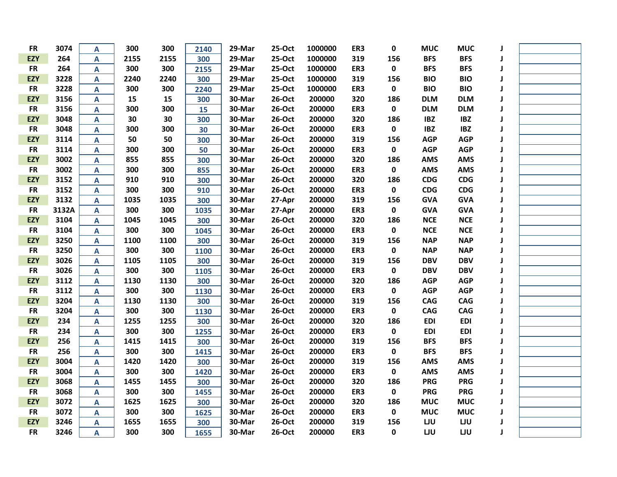| <b>FR</b>  | 3074  | A                       | 300  | 300  | 2140 | 29-Mar | 25-Oct | 1000000 | ER3 | $\mathbf 0$ | <b>MUC</b> | <b>MUC</b> |   |  |
|------------|-------|-------------------------|------|------|------|--------|--------|---------|-----|-------------|------------|------------|---|--|
| <b>EZY</b> | 264   | $\mathsf{A}$            | 2155 | 2155 | 300  | 29-Mar | 25-Oct | 1000000 | 319 | 156         | <b>BFS</b> | <b>BFS</b> |   |  |
| <b>FR</b>  | 264   | A                       | 300  | 300  | 2155 | 29-Mar | 25-Oct | 1000000 | ER3 | $\pmb{0}$   | <b>BFS</b> | <b>BFS</b> |   |  |
| <b>EZY</b> | 3228  | A                       | 2240 | 2240 | 300  | 29-Mar | 25-Oct | 1000000 | 319 | 156         | <b>BIO</b> | <b>BIO</b> | J |  |
| <b>FR</b>  | 3228  | A                       | 300  | 300  | 2240 | 29-Mar | 25-Oct | 1000000 | ER3 | $\pmb{0}$   | <b>BIO</b> | <b>BIO</b> |   |  |
| <b>EZY</b> | 3156  | $\mathsf{A}$            | 15   | 15   | 300  | 30-Mar | 26-Oct | 200000  | 320 | 186         | <b>DLM</b> | <b>DLM</b> |   |  |
| <b>FR</b>  | 3156  | $\mathsf{A}$            | 300  | 300  | 15   | 30-Mar | 26-Oct | 200000  | ER3 | $\pmb{0}$   | <b>DLM</b> | <b>DLM</b> |   |  |
| <b>EZY</b> | 3048  | A                       | 30   | 30   | 300  | 30-Mar | 26-Oct | 200000  | 320 | 186         | <b>IBZ</b> | <b>IBZ</b> |   |  |
| <b>FR</b>  | 3048  | A                       | 300  | 300  | 30   | 30-Mar | 26-Oct | 200000  | ER3 | $\mathbf 0$ | <b>IBZ</b> | <b>IBZ</b> |   |  |
| <b>EZY</b> | 3114  | A                       | 50   | 50   | 300  | 30-Mar | 26-Oct | 200000  | 319 | 156         | <b>AGP</b> | <b>AGP</b> | J |  |
| <b>FR</b>  | 3114  | A                       | 300  | 300  | 50   | 30-Mar | 26-Oct | 200000  | ER3 | $\pmb{0}$   | <b>AGP</b> | <b>AGP</b> |   |  |
| <b>EZY</b> | 3002  | A                       | 855  | 855  | 300  | 30-Mar | 26-Oct | 200000  | 320 | 186         | <b>AMS</b> | <b>AMS</b> | J |  |
| <b>FR</b>  | 3002  | $\mathsf{A}$            | 300  | 300  | 855  | 30-Mar | 26-Oct | 200000  | ER3 | $\mathbf 0$ | <b>AMS</b> | <b>AMS</b> | J |  |
| <b>EZY</b> | 3152  | $\mathsf{A}$            | 910  | 910  | 300  | 30-Mar | 26-Oct | 200000  | 320 | 186         | <b>CDG</b> | CDG        |   |  |
| <b>FR</b>  | 3152  | A                       | 300  | 300  | 910  | 30-Mar | 26-Oct | 200000  | ER3 | $\pmb{0}$   | <b>CDG</b> | CDG        | J |  |
| <b>EZY</b> | 3132  | $\mathsf{A}$            | 1035 | 1035 | 300  | 30-Mar | 27-Apr | 200000  | 319 | 156         | <b>GVA</b> | <b>GVA</b> | J |  |
| <b>FR</b>  | 3132A | A                       | 300  | 300  | 1035 | 30-Mar | 27-Apr | 200000  | ER3 | $\pmb{0}$   | <b>GVA</b> | <b>GVA</b> |   |  |
| <b>EZY</b> | 3104  | A                       | 1045 | 1045 | 300  | 30-Mar | 26-Oct | 200000  | 320 | 186         | <b>NCE</b> | <b>NCE</b> |   |  |
| <b>FR</b>  | 3104  | $\mathsf{A}$            | 300  | 300  | 1045 | 30-Mar | 26-Oct | 200000  | ER3 | $\mathbf 0$ | <b>NCE</b> | <b>NCE</b> |   |  |
| <b>EZY</b> | 3250  | A                       | 1100 | 1100 | 300  | 30-Mar | 26-Oct | 200000  | 319 | 156         | <b>NAP</b> | <b>NAP</b> |   |  |
| <b>FR</b>  | 3250  | A                       | 300  | 300  | 1100 | 30-Mar | 26-Oct | 200000  | ER3 | $\mathbf 0$ | <b>NAP</b> | <b>NAP</b> |   |  |
| <b>EZY</b> | 3026  | A                       | 1105 | 1105 | 300  | 30-Mar | 26-Oct | 200000  | 319 | 156         | <b>DBV</b> | <b>DBV</b> | J |  |
| <b>FR</b>  | 3026  | A                       | 300  | 300  | 1105 | 30-Mar | 26-Oct | 200000  | ER3 | $\mathbf 0$ | <b>DBV</b> | <b>DBV</b> |   |  |
| <b>EZY</b> | 3112  | A                       | 1130 | 1130 | 300  | 30-Mar | 26-Oct | 200000  | 320 | 186         | <b>AGP</b> | <b>AGP</b> | J |  |
| <b>FR</b>  | 3112  | A                       | 300  | 300  | 1130 | 30-Mar | 26-Oct | 200000  | ER3 | $\mathbf 0$ | <b>AGP</b> | <b>AGP</b> | J |  |
| <b>EZY</b> | 3204  | $\overline{\mathsf{A}}$ | 1130 | 1130 | 300  | 30-Mar | 26-Oct | 200000  | 319 | 156         | <b>CAG</b> | CAG        |   |  |
| <b>FR</b>  | 3204  | $\mathsf{A}$            | 300  | 300  | 1130 | 30-Mar | 26-Oct | 200000  | ER3 | $\pmb{0}$   | CAG        | CAG        |   |  |
| <b>EZY</b> | 234   | $\mathsf{A}$            | 1255 | 1255 | 300  | 30-Mar | 26-Oct | 200000  | 320 | 186         | <b>EDI</b> | <b>EDI</b> |   |  |
| <b>FR</b>  | 234   | A                       | 300  | 300  | 1255 | 30-Mar | 26-Oct | 200000  | ER3 | $\mathbf 0$ | <b>EDI</b> | <b>EDI</b> |   |  |
| <b>EZY</b> | 256   | A                       | 1415 | 1415 | 300  | 30-Mar | 26-Oct | 200000  | 319 | 156         | <b>BFS</b> | <b>BFS</b> |   |  |
| <b>FR</b>  | 256   | $\mathsf{A}$            | 300  | 300  | 1415 | 30-Mar | 26-Oct | 200000  | ER3 | $\mathbf 0$ | <b>BFS</b> | <b>BFS</b> |   |  |
| <b>EZY</b> | 3004  | A                       | 1420 | 1420 | 300  | 30-Mar | 26-Oct | 200000  | 319 | 156         | <b>AMS</b> | <b>AMS</b> |   |  |
| <b>FR</b>  | 3004  | A                       | 300  | 300  | 1420 | 30-Mar | 26-Oct | 200000  | ER3 | $\pmb{0}$   | <b>AMS</b> | <b>AMS</b> | J |  |
| <b>EZY</b> | 3068  | A                       | 1455 | 1455 | 300  | 30-Mar | 26-Oct | 200000  | 320 | 186         | <b>PRG</b> | <b>PRG</b> | J |  |
| <b>FR</b>  | 3068  | A                       | 300  | 300  | 1455 | 30-Mar | 26-Oct | 200000  | ER3 | $\pmb{0}$   | <b>PRG</b> | <b>PRG</b> |   |  |
| <b>EZY</b> | 3072  | A                       | 1625 | 1625 | 300  | 30-Mar | 26-Oct | 200000  | 320 | 186         | <b>MUC</b> | <b>MUC</b> | J |  |
| <b>FR</b>  | 3072  | A                       | 300  | 300  | 1625 | 30-Mar | 26-Oct | 200000  | ER3 | $\pmb{0}$   | <b>MUC</b> | <b>MUC</b> | J |  |
| <b>EZY</b> | 3246  | $\mathsf{A}$            | 1655 | 1655 | 300  | 30-Mar | 26-Oct | 200000  | 319 | 156         | LJU        | LJU        |   |  |
| <b>FR</b>  | 3246  | A                       | 300  | 300  | 1655 | 30-Mar | 26-Oct | 200000  | ER3 | 0           | LJU        | LJU        | J |  |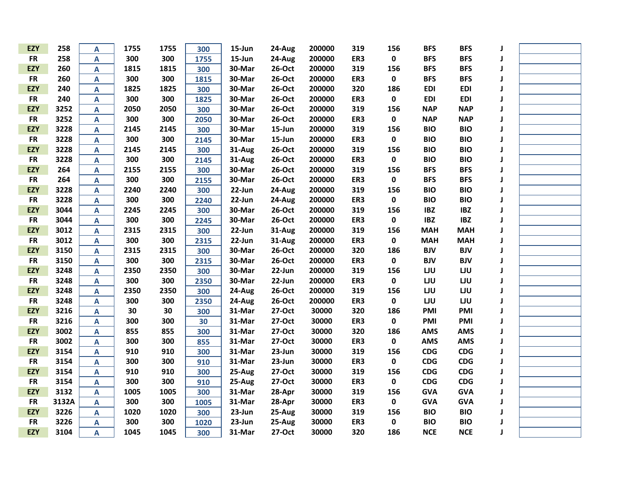| <b>EZY</b> | 258   | A                       | 1755 | 1755 | 300  | 15-Jun    | 24-Aug | 200000 | 319 | 156         | <b>BFS</b> | <b>BFS</b> |   |  |
|------------|-------|-------------------------|------|------|------|-----------|--------|--------|-----|-------------|------------|------------|---|--|
| <b>FR</b>  | 258   | A                       | 300  | 300  | 1755 | $15$ -Jun | 24-Aug | 200000 | ER3 | $\mathbf 0$ | <b>BFS</b> | <b>BFS</b> |   |  |
| <b>EZY</b> | 260   | A                       | 1815 | 1815 | 300  | 30-Mar    | 26-Oct | 200000 | 319 | 156         | <b>BFS</b> | <b>BFS</b> |   |  |
| <b>FR</b>  | 260   | A                       | 300  | 300  | 1815 | 30-Mar    | 26-Oct | 200000 | ER3 | $\pmb{0}$   | <b>BFS</b> | <b>BFS</b> |   |  |
| <b>EZY</b> | 240   | A                       | 1825 | 1825 | 300  | 30-Mar    | 26-Oct | 200000 | 320 | 186         | <b>EDI</b> | <b>EDI</b> |   |  |
| <b>FR</b>  | 240   | A                       | 300  | 300  | 1825 | 30-Mar    | 26-Oct | 200000 | ER3 | $\pmb{0}$   | <b>EDI</b> | <b>EDI</b> |   |  |
| <b>EZY</b> | 3252  | $\mathsf{A}$            | 2050 | 2050 | 300  | 30-Mar    | 26-Oct | 200000 | 319 | 156         | <b>NAP</b> | <b>NAP</b> |   |  |
| <b>FR</b>  | 3252  | A                       | 300  | 300  | 2050 | 30-Mar    | 26-Oct | 200000 | ER3 | $\pmb{0}$   | <b>NAP</b> | <b>NAP</b> |   |  |
| <b>EZY</b> | 3228  | A                       | 2145 | 2145 | 300  | 30-Mar    | 15-Jun | 200000 | 319 | 156         | <b>BIO</b> | <b>BIO</b> |   |  |
| <b>FR</b>  | 3228  | A                       | 300  | 300  | 2145 | 30-Mar    | 15-Jun | 200000 | ER3 | $\pmb{0}$   | <b>BIO</b> | <b>BIO</b> |   |  |
| <b>EZY</b> | 3228  | A                       | 2145 | 2145 | 300  | 31-Aug    | 26-Oct | 200000 | 319 | 156         | <b>BIO</b> | <b>BIO</b> |   |  |
| <b>FR</b>  | 3228  | A                       | 300  | 300  | 2145 | 31-Aug    | 26-Oct | 200000 | ER3 | $\pmb{0}$   | <b>BIO</b> | <b>BIO</b> |   |  |
| <b>EZY</b> | 264   | A                       | 2155 | 2155 | 300  | 30-Mar    | 26-Oct | 200000 | 319 | 156         | <b>BFS</b> | <b>BFS</b> |   |  |
| <b>FR</b>  | 264   | A                       | 300  | 300  | 2155 | 30-Mar    | 26-Oct | 200000 | ER3 | $\pmb{0}$   | <b>BFS</b> | <b>BFS</b> |   |  |
| <b>EZY</b> | 3228  | $\mathsf{A}$            | 2240 | 2240 | 300  | 22-Jun    | 24-Aug | 200000 | 319 | 156         | <b>BIO</b> | <b>BIO</b> |   |  |
| <b>FR</b>  | 3228  | A                       | 300  | 300  | 2240 | 22-Jun    | 24-Aug | 200000 | ER3 | $\pmb{0}$   | <b>BIO</b> | <b>BIO</b> |   |  |
| <b>EZY</b> | 3044  | A                       | 2245 | 2245 | 300  | 30-Mar    | 26-Oct | 200000 | 319 | 156         | <b>IBZ</b> | <b>IBZ</b> |   |  |
| <b>FR</b>  | 3044  | A                       | 300  | 300  | 2245 | 30-Mar    | 26-Oct | 200000 | ER3 | 0           | <b>IBZ</b> | <b>IBZ</b> |   |  |
| <b>EZY</b> | 3012  | A                       | 2315 | 2315 | 300  | 22-Jun    | 31-Aug | 200000 | 319 | 156         | <b>MAH</b> | <b>MAH</b> |   |  |
| <b>FR</b>  | 3012  | A                       | 300  | 300  | 2315 | $22$ -Jun | 31-Aug | 200000 | ER3 | $\pmb{0}$   | <b>MAH</b> | <b>MAH</b> |   |  |
| <b>EZY</b> | 3150  | A                       | 2315 | 2315 | 300  | 30-Mar    | 26-Oct | 200000 | 320 | 186         | <b>BJV</b> | <b>BJV</b> |   |  |
| <b>FR</b>  | 3150  | A                       | 300  | 300  | 2315 | 30-Mar    | 26-Oct | 200000 | ER3 | $\pmb{0}$   | <b>BJV</b> | <b>BJV</b> |   |  |
| <b>EZY</b> | 3248  | A                       | 2350 | 2350 | 300  | 30-Mar    | 22-Jun | 200000 | 319 | 156         | LJU        | LJU        |   |  |
| <b>FR</b>  | 3248  | Α                       | 300  | 300  | 2350 | 30-Mar    | 22-Jun | 200000 | ER3 | $\mathbf 0$ | LJU        | LJU        | J |  |
| <b>EZY</b> | 3248  | A                       | 2350 | 2350 | 300  | 24-Aug    | 26-Oct | 200000 | 319 | 156         | LJU        | LJU        | J |  |
| <b>FR</b>  | 3248  | A                       | 300  | 300  | 2350 | 24-Aug    | 26-Oct | 200000 | ER3 | $\mathbf 0$ | LJU        | LJU        |   |  |
| <b>EZY</b> | 3216  | $\overline{\mathsf{A}}$ | 30   | 30   | 300  | 31-Mar    | 27-Oct | 30000  | 320 | 186         | PMI        | PMI        |   |  |
| <b>FR</b>  | 3216  | A                       | 300  | 300  | 30   | 31-Mar    | 27-Oct | 30000  | ER3 | $\pmb{0}$   | PMI        | PMI        |   |  |
| <b>EZY</b> | 3002  | A                       | 855  | 855  | 300  | 31-Mar    | 27-Oct | 30000  | 320 | 186         | <b>AMS</b> | <b>AMS</b> |   |  |
| <b>FR</b>  | 3002  | A                       | 300  | 300  | 855  | 31-Mar    | 27-Oct | 30000  | ER3 | $\pmb{0}$   | <b>AMS</b> | <b>AMS</b> |   |  |
| <b>EZY</b> | 3154  | A                       | 910  | 910  | 300  | 31-Mar    | 23-Jun | 30000  | 319 | 156         | <b>CDG</b> | <b>CDG</b> |   |  |
| <b>FR</b>  | 3154  | A                       | 300  | 300  | 910  | 31-Mar    | 23-Jun | 30000  | ER3 | $\pmb{0}$   | <b>CDG</b> | <b>CDG</b> |   |  |
| <b>EZY</b> | 3154  | A                       | 910  | 910  | 300  | 25-Aug    | 27-Oct | 30000  | 319 | 156         | <b>CDG</b> | <b>CDG</b> |   |  |
| <b>FR</b>  | 3154  | A                       | 300  | 300  | 910  | 25-Aug    | 27-Oct | 30000  | ER3 | $\pmb{0}$   | <b>CDG</b> | CDG        |   |  |
| <b>EZY</b> | 3132  | A                       | 1005 | 1005 | 300  | 31-Mar    | 28-Apr | 30000  | 319 | 156         | <b>GVA</b> | <b>GVA</b> |   |  |
| <b>FR</b>  | 3132A | A                       | 300  | 300  | 1005 | 31-Mar    | 28-Apr | 30000  | ER3 | $\pmb{0}$   | <b>GVA</b> | <b>GVA</b> | J |  |
| <b>EZY</b> | 3226  | A                       | 1020 | 1020 | 300  | 23-Jun    | 25-Aug | 30000  | 319 | 156         | <b>BIO</b> | <b>BIO</b> |   |  |
| <b>FR</b>  | 3226  | A                       | 300  | 300  | 1020 | $23$ -Jun | 25-Aug | 30000  | ER3 | $\pmb{0}$   | <b>BIO</b> | <b>BIO</b> |   |  |
| <b>EZY</b> | 3104  | A                       | 1045 | 1045 | 300  | 31-Mar    | 27-Oct | 30000  | 320 | 186         | <b>NCE</b> | <b>NCE</b> |   |  |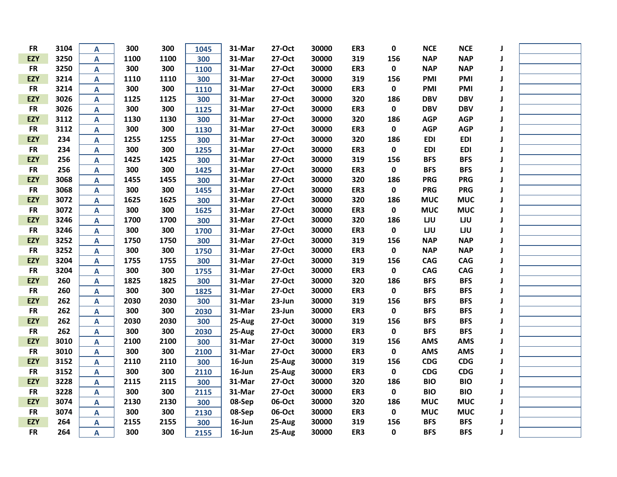| <b>FR</b>  | 3104 | A                         | 300  | 300  | 1045 | 31-Mar    | 27-Oct | 30000 | ER3 | 0           | <b>NCE</b> | <b>NCE</b> |              |  |
|------------|------|---------------------------|------|------|------|-----------|--------|-------|-----|-------------|------------|------------|--------------|--|
| <b>EZY</b> | 3250 | A                         | 1100 | 1100 | 300  | 31-Mar    | 27-Oct | 30000 | 319 | 156         | <b>NAP</b> | <b>NAP</b> |              |  |
| <b>FR</b>  | 3250 | $\overline{A}$            | 300  | 300  | 1100 | 31-Mar    | 27-Oct | 30000 | ER3 | $\mathbf 0$ | <b>NAP</b> | <b>NAP</b> | J            |  |
| <b>EZY</b> | 3214 | A                         | 1110 | 1110 | 300  | 31-Mar    | 27-Oct | 30000 | 319 | 156         | PMI        | <b>PMI</b> | J            |  |
| <b>FR</b>  | 3214 | A                         | 300  | 300  | 1110 | 31-Mar    | 27-Oct | 30000 | ER3 | $\mathbf 0$ | <b>PMI</b> | PMI        | J            |  |
| <b>EZY</b> | 3026 | A                         | 1125 | 1125 | 300  | 31-Mar    | 27-Oct | 30000 | 320 | 186         | <b>DBV</b> | <b>DBV</b> |              |  |
| <b>FR</b>  | 3026 | A                         | 300  | 300  | 1125 | 31-Mar    | 27-Oct | 30000 | ER3 | $\pmb{0}$   | <b>DBV</b> | <b>DBV</b> |              |  |
| <b>EZY</b> | 3112 | $\mathsf{A}$              | 1130 | 1130 | 300  | 31-Mar    | 27-Oct | 30000 | 320 | 186         | <b>AGP</b> | <b>AGP</b> |              |  |
| <b>FR</b>  | 3112 | A                         | 300  | 300  | 1130 | 31-Mar    | 27-Oct | 30000 | ER3 | $\pmb{0}$   | <b>AGP</b> | <b>AGP</b> |              |  |
| <b>EZY</b> | 234  | A                         | 1255 | 1255 | 300  | 31-Mar    | 27-Oct | 30000 | 320 | 186         | <b>EDI</b> | <b>EDI</b> | J            |  |
| <b>FR</b>  | 234  | A                         | 300  | 300  | 1255 | 31-Mar    | 27-Oct | 30000 | ER3 | $\pmb{0}$   | <b>EDI</b> | <b>EDI</b> | J            |  |
| <b>EZY</b> | 256  | $\mathsf{A}$              | 1425 | 1425 | 300  | 31-Mar    | 27-Oct | 30000 | 319 | 156         | <b>BFS</b> | <b>BFS</b> | J            |  |
| <b>FR</b>  | 256  | $\mathsf{A}$              | 300  | 300  | 1425 | 31-Mar    | 27-Oct | 30000 | ER3 | $\pmb{0}$   | <b>BFS</b> | <b>BFS</b> | J            |  |
| <b>EZY</b> | 3068 | $\mathbf{A}$              | 1455 | 1455 | 300  | 31-Mar    | 27-Oct | 30000 | 320 | 186         | <b>PRG</b> | <b>PRG</b> |              |  |
| <b>FR</b>  | 3068 | $\mathsf{A}$              | 300  | 300  | 1455 | 31-Mar    | 27-Oct | 30000 | ER3 | $\pmb{0}$   | <b>PRG</b> | <b>PRG</b> | J            |  |
| <b>EZY</b> | 3072 | $\mathsf{A}$              | 1625 | 1625 | 300  | 31-Mar    | 27-Oct | 30000 | 320 | 186         | <b>MUC</b> | <b>MUC</b> | $\mathbf{J}$ |  |
| <b>FR</b>  | 3072 | A                         | 300  | 300  | 1625 | 31-Mar    | 27-Oct | 30000 | ER3 | $\mathbf 0$ | <b>MUC</b> | <b>MUC</b> | J            |  |
| <b>EZY</b> | 3246 | A                         | 1700 | 1700 | 300  | 31-Mar    | 27-Oct | 30000 | 320 | 186         | LJU        | LJU        |              |  |
| <b>FR</b>  | 3246 | A                         | 300  | 300  | 1700 | 31-Mar    | 27-Oct | 30000 | ER3 | $\mathbf 0$ | LJU        | LJU        |              |  |
| <b>EZY</b> | 3252 | $\boldsymbol{\mathsf{A}}$ | 1750 | 1750 | 300  | 31-Mar    | 27-Oct | 30000 | 319 | 156         | <b>NAP</b> | <b>NAP</b> | J            |  |
| <b>FR</b>  | 3252 | A                         | 300  | 300  | 1750 | 31-Mar    | 27-Oct | 30000 | ER3 | $\mathbf 0$ | <b>NAP</b> | <b>NAP</b> |              |  |
| <b>EZY</b> | 3204 | A                         | 1755 | 1755 | 300  | 31-Mar    | 27-Oct | 30000 | 319 | 156         | <b>CAG</b> | <b>CAG</b> | J            |  |
| <b>FR</b>  | 3204 | A                         | 300  | 300  | 1755 | 31-Mar    | 27-Oct | 30000 | ER3 | $\mathbf 0$ | <b>CAG</b> | <b>CAG</b> | J            |  |
| <b>EZY</b> | 260  | $\mathsf{A}$              | 1825 | 1825 | 300  | 31-Mar    | 27-Oct | 30000 | 320 | 186         | <b>BFS</b> | <b>BFS</b> | J            |  |
| <b>FR</b>  | 260  | $\boldsymbol{\mathsf{A}}$ | 300  | 300  | 1825 | 31-Mar    | 27-Oct | 30000 | ER3 | $\pmb{0}$   | <b>BFS</b> | <b>BFS</b> | J            |  |
| <b>EZY</b> | 262  | $\overline{\mathsf{A}}$   | 2030 | 2030 | 300  | 31-Mar    | 23-Jun | 30000 | 319 | 156         | <b>BFS</b> | <b>BFS</b> |              |  |
| <b>FR</b>  | 262  | A                         | 300  | 300  | 2030 | 31-Mar    | 23-Jun | 30000 | ER3 | $\pmb{0}$   | <b>BFS</b> | <b>BFS</b> |              |  |
| <b>EZY</b> | 262  | A                         | 2030 | 2030 | 300  | 25-Aug    | 27-Oct | 30000 | 319 | 156         | <b>BFS</b> | <b>BFS</b> | J            |  |
| <b>FR</b>  | 262  | $\mathsf{A}$              | 300  | 300  | 2030 | 25-Aug    | 27-Oct | 30000 | ER3 | $\pmb{0}$   | <b>BFS</b> | <b>BFS</b> |              |  |
| <b>EZY</b> | 3010 | $\mathbf{A}$              | 2100 | 2100 | 300  | 31-Mar    | 27-Oct | 30000 | 319 | 156         | <b>AMS</b> | <b>AMS</b> |              |  |
| <b>FR</b>  | 3010 | $\overline{\mathsf{A}}$   | 300  | 300  | 2100 | 31-Mar    | 27-Oct | 30000 | ER3 | $\pmb{0}$   | <b>AMS</b> | <b>AMS</b> |              |  |
| <b>EZY</b> | 3152 | A                         | 2110 | 2110 | 300  | $16$ -Jun | 25-Aug | 30000 | 319 | 156         | <b>CDG</b> | CDG        | J            |  |
| <b>FR</b>  | 3152 | A                         | 300  | 300  | 2110 | 16-Jun    | 25-Aug | 30000 | ER3 | $\pmb{0}$   | <b>CDG</b> | CDG        |              |  |
| <b>EZY</b> | 3228 | A                         | 2115 | 2115 | 300  | 31-Mar    | 27-Oct | 30000 | 320 | 186         | <b>BIO</b> | <b>BIO</b> | J            |  |
| <b>FR</b>  | 3228 | $\mathsf{A}$              | 300  | 300  | 2115 | 31-Mar    | 27-Oct | 30000 | ER3 | $\pmb{0}$   | <b>BIO</b> | <b>BIO</b> | J            |  |
| <b>EZY</b> | 3074 | $\mathbf{A}$              | 2130 | 2130 | 300  | 08-Sep    | 06-Oct | 30000 | 320 | 186         | <b>MUC</b> | <b>MUC</b> | J            |  |
| <b>FR</b>  | 3074 | $\mathsf{A}$              | 300  | 300  | 2130 | 08-Sep    | 06-Oct | 30000 | ER3 | $\pmb{0}$   | <b>MUC</b> | <b>MUC</b> |              |  |
| <b>EZY</b> | 264  | $\mathsf{A}$              | 2155 | 2155 | 300  | $16$ -Jun | 25-Aug | 30000 | 319 | 156         | <b>BFS</b> | <b>BFS</b> |              |  |
| <b>FR</b>  | 264  | A                         | 300  | 300  | 2155 | 16-Jun    | 25-Aug | 30000 | ER3 | $\mathbf 0$ | <b>BFS</b> | <b>BFS</b> | J            |  |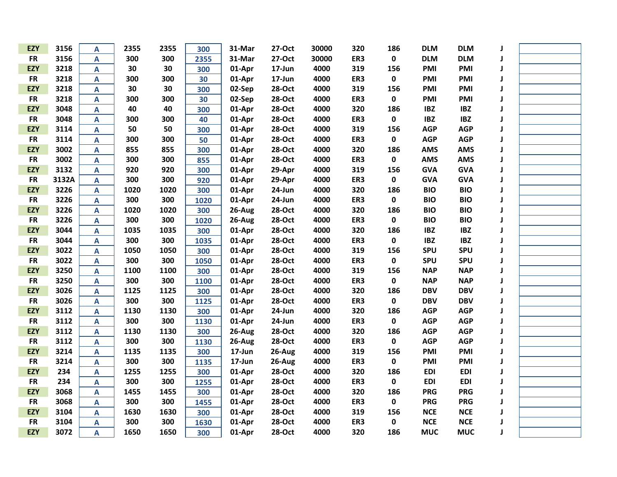| <b>EZY</b> | 3156  | Α                         | 2355 | 2355 | 300  | 31-Mar     | 27-Oct | 30000 | 320 | 186         | <b>DLM</b> | <b>DLM</b> | J |  |
|------------|-------|---------------------------|------|------|------|------------|--------|-------|-----|-------------|------------|------------|---|--|
| <b>FR</b>  | 3156  | A                         | 300  | 300  | 2355 | 31-Mar     | 27-Oct | 30000 | ER3 | $\mathbf 0$ | <b>DLM</b> | <b>DLM</b> | J |  |
| <b>EZY</b> | 3218  | A                         | 30   | 30   | 300  | 01-Apr     | 17-Jun | 4000  | 319 | 156         | PMI        | PMI        | J |  |
| <b>FR</b>  | 3218  | A                         | 300  | 300  | 30   | 01-Apr     | 17-Jun | 4000  | ER3 | $\mathbf 0$ | PMI        | <b>PMI</b> | J |  |
| <b>EZY</b> | 3218  | A                         | 30   | 30   | 300  | 02-Sep     | 28-Oct | 4000  | 319 | 156         | PMI        | PMI        | J |  |
| <b>FR</b>  | 3218  | A                         | 300  | 300  | 30   | 02-Sep     | 28-Oct | 4000  | ER3 | 0           | PMI        | PMI        | J |  |
| <b>EZY</b> | 3048  | A                         | 40   | 40   | 300  | 01-Apr     | 28-Oct | 4000  | 320 | 186         | <b>IBZ</b> | <b>IBZ</b> |   |  |
| <b>FR</b>  | 3048  | A                         | 300  | 300  | 40   | 01-Apr     | 28-Oct | 4000  | ER3 | $\pmb{0}$   | <b>IBZ</b> | <b>IBZ</b> |   |  |
| <b>EZY</b> | 3114  | $\mathbf{A}$              | 50   | 50   | 300  | 01-Apr     | 28-Oct | 4000  | 319 | 156         | <b>AGP</b> | <b>AGP</b> | J |  |
| <b>FR</b>  | 3114  | A                         | 300  | 300  | 50   | 01-Apr     | 28-Oct | 4000  | ER3 | $\pmb{0}$   | <b>AGP</b> | <b>AGP</b> | J |  |
| <b>EZY</b> | 3002  | А                         | 855  | 855  | 300  | 01-Apr     | 28-Oct | 4000  | 320 | 186         | <b>AMS</b> | <b>AMS</b> | J |  |
| <b>FR</b>  | 3002  | A                         | 300  | 300  | 855  | 01-Apr     | 28-Oct | 4000  | ER3 | $\pmb{0}$   | <b>AMS</b> | <b>AMS</b> | J |  |
| <b>EZY</b> | 3132  | $\boldsymbol{\mathsf{A}}$ | 920  | 920  | 300  | 01-Apr     | 29-Apr | 4000  | 319 | 156         | <b>GVA</b> | <b>GVA</b> | J |  |
| <b>FR</b>  | 3132A | A                         | 300  | 300  | 920  | 01-Apr     | 29-Apr | 4000  | ER3 | $\pmb{0}$   | <b>GVA</b> | <b>GVA</b> | J |  |
| <b>EZY</b> | 3226  | A                         | 1020 | 1020 | 300  | 01-Apr     | 24-Jun | 4000  | 320 | 186         | <b>BIO</b> | <b>BIO</b> |   |  |
| <b>FR</b>  | 3226  | A                         | 300  | 300  | 1020 | 01-Apr     | 24-Jun | 4000  | ER3 | $\pmb{0}$   | <b>BIO</b> | <b>BIO</b> | J |  |
| <b>EZY</b> | 3226  | A                         | 1020 | 1020 | 300  | 26-Aug     | 28-Oct | 4000  | 320 | 186         | <b>BIO</b> | <b>BIO</b> |   |  |
| <b>FR</b>  | 3226  | A                         | 300  | 300  | 1020 | 26-Aug     | 28-Oct | 4000  | ER3 | 0           | <b>BIO</b> | <b>BIO</b> |   |  |
| <b>EZY</b> | 3044  | A                         | 1035 | 1035 | 300  | 01-Apr     | 28-Oct | 4000  | 320 | 186         | <b>IBZ</b> | <b>IBZ</b> | J |  |
| <b>FR</b>  | 3044  | $\mathbf{A}$              | 300  | 300  | 1035 | 01-Apr     | 28-Oct | 4000  | ER3 | $\mathbf 0$ | <b>IBZ</b> | <b>IBZ</b> |   |  |
| <b>EZY</b> | 3022  | A                         | 1050 | 1050 | 300  | 01-Apr     | 28-Oct | 4000  | 319 | 156         | <b>SPU</b> | <b>SPU</b> |   |  |
| <b>FR</b>  | 3022  | A                         | 300  | 300  | 1050 | 01-Apr     | 28-Oct | 4000  | ER3 | $\mathbf 0$ | <b>SPU</b> | <b>SPU</b> | J |  |
| <b>EZY</b> | 3250  | A                         | 1100 | 1100 | 300  | 01-Apr     | 28-Oct | 4000  | 319 | 156         | <b>NAP</b> | <b>NAP</b> | J |  |
| <b>FR</b>  | 3250  | A                         | 300  | 300  | 1100 | 01-Apr     | 28-Oct | 4000  | ER3 | $\pmb{0}$   | <b>NAP</b> | <b>NAP</b> | J |  |
| <b>EZY</b> | 3026  | A                         | 1125 | 1125 | 300  | 01-Apr     | 28-Oct | 4000  | 320 | 186         | <b>DBV</b> | <b>DBV</b> | J |  |
| <b>FR</b>  | 3026  | A                         | 300  | 300  | 1125 | 01-Apr     | 28-Oct | 4000  | ER3 | $\pmb{0}$   | <b>DBV</b> | <b>DBV</b> | J |  |
| <b>EZY</b> | 3112  | A                         | 1130 | 1130 | 300  | 01-Apr     | 24-Jun | 4000  | 320 | 186         | <b>AGP</b> | <b>AGP</b> | J |  |
| <b>FR</b>  | 3112  | A                         | 300  | 300  | 1130 | 01-Apr     | 24-Jun | 4000  | ER3 | $\pmb{0}$   | <b>AGP</b> | <b>AGP</b> |   |  |
| <b>EZY</b> | 3112  | A                         | 1130 | 1130 | 300  | 26-Aug     | 28-Oct | 4000  | 320 | 186         | <b>AGP</b> | <b>AGP</b> |   |  |
| <b>FR</b>  | 3112  | A                         | 300  | 300  | 1130 | 26-Aug     | 28-Oct | 4000  | ER3 | $\pmb{0}$   | <b>AGP</b> | <b>AGP</b> |   |  |
| <b>EZY</b> | 3214  | A                         | 1135 | 1135 | 300  | $17 - Jun$ | 26-Aug | 4000  | 319 | 156         | PMI        | <b>PMI</b> |   |  |
| <b>FR</b>  | 3214  | A                         | 300  | 300  | 1135 | 17-Jun     | 26-Aug | 4000  | ER3 | $\pmb{0}$   | PMI        | PMI        |   |  |
| <b>EZY</b> | 234   | A                         | 1255 | 1255 | 300  | 01-Apr     | 28-Oct | 4000  | 320 | 186         | <b>EDI</b> | <b>EDI</b> | J |  |
| <b>FR</b>  | 234   | А                         | 300  | 300  | 1255 | 01-Apr     | 28-Oct | 4000  | ER3 | $\pmb{0}$   | <b>EDI</b> | <b>EDI</b> | J |  |
| <b>EZY</b> | 3068  | A                         | 1455 | 1455 | 300  | 01-Apr     | 28-Oct | 4000  | 320 | 186         | <b>PRG</b> | <b>PRG</b> | J |  |
| <b>FR</b>  | 3068  | A                         | 300  | 300  | 1455 | 01-Apr     | 28-Oct | 4000  | ER3 | $\pmb{0}$   | <b>PRG</b> | <b>PRG</b> | J |  |
| <b>EZY</b> | 3104  | A                         | 1630 | 1630 | 300  | 01-Apr     | 28-Oct | 4000  | 319 | 156         | <b>NCE</b> | <b>NCE</b> | J |  |
| <b>FR</b>  | 3104  | A                         | 300  | 300  | 1630 | 01-Apr     | 28-Oct | 4000  | ER3 | $\mathbf 0$ | <b>NCE</b> | <b>NCE</b> |   |  |
| <b>EZY</b> | 3072  | A                         | 1650 | 1650 | 300  | 01-Apr     | 28-Oct | 4000  | 320 | 186         | <b>MUC</b> | <b>MUC</b> | J |  |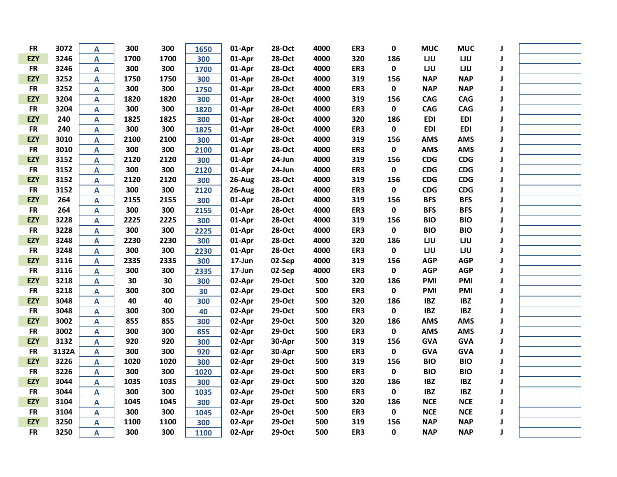| <b>FR</b>  | 3072  | A                         | 300  | 300  | 1650 | 01-Apr | 28-Oct        | 4000 | ER3 | 0           | <b>MUC</b> | <b>MUC</b> | J            |  |
|------------|-------|---------------------------|------|------|------|--------|---------------|------|-----|-------------|------------|------------|--------------|--|
| <b>EZY</b> | 3246  | $\mathbf{A}$              | 1700 | 1700 | 300  | 01-Apr | 28-Oct        | 4000 | 320 | 186         | LJU        | LJU        | J            |  |
| <b>FR</b>  | 3246  | $\mathbf{A}$              | 300  | 300  | 1700 | 01-Apr | 28-Oct        | 4000 | ER3 | 0           | LJU        | LJU        | J            |  |
| <b>EZY</b> | 3252  | A                         | 1750 | 1750 | 300  | 01-Apr | 28-Oct        | 4000 | 319 | 156         | <b>NAP</b> | <b>NAP</b> | J            |  |
| <b>FR</b>  | 3252  | A                         | 300  | 300  | 1750 | 01-Apr | 28-Oct        | 4000 | ER3 | 0           | <b>NAP</b> | <b>NAP</b> | J            |  |
| <b>EZY</b> | 3204  | $\mathbf{A}$              | 1820 | 1820 | 300  | 01-Apr | <b>28-Oct</b> | 4000 | 319 | 156         | <b>CAG</b> | <b>CAG</b> | J            |  |
| <b>FR</b>  | 3204  | $\mathbf{A}$              | 300  | 300  | 1820 | 01-Apr | <b>28-Oct</b> | 4000 | ER3 | 0           | <b>CAG</b> | <b>CAG</b> | J            |  |
| <b>EZY</b> | 240   | $\mathbf{A}$              | 1825 | 1825 | 300  | 01-Apr | <b>28-Oct</b> | 4000 | 320 | 186         | <b>EDI</b> | <b>EDI</b> | J            |  |
| <b>FR</b>  | 240   | A                         | 300  | 300  | 1825 | 01-Apr | <b>28-Oct</b> | 4000 | ER3 | $\pmb{0}$   | <b>EDI</b> | <b>EDI</b> | J            |  |
| <b>EZY</b> | 3010  | A                         | 2100 | 2100 | 300  | 01-Apr | 28-Oct        | 4000 | 319 | 156         | <b>AMS</b> | <b>AMS</b> | J            |  |
| <b>FR</b>  | 3010  | A                         | 300  | 300  | 2100 | 01-Apr | <b>28-Oct</b> | 4000 | ER3 | 0           | <b>AMS</b> | <b>AMS</b> | J            |  |
| <b>EZY</b> | 3152  | $\mathbf{A}$              | 2120 | 2120 | 300  | 01-Apr | 24-Jun        | 4000 | 319 | 156         | <b>CDG</b> | CDG        | J            |  |
| <b>FR</b>  | 3152  | $\pmb{\mathsf{A}}$        | 300  | 300  | 2120 | 01-Apr | 24-Jun        | 4000 | ER3 | 0           | <b>CDG</b> | CDG        | J            |  |
| <b>EZY</b> | 3152  | $\boldsymbol{\mathsf{A}}$ | 2120 | 2120 | 300  | 26-Aug | 28-Oct        | 4000 | 319 | 156         | <b>CDG</b> | <b>CDG</b> | J            |  |
| <b>FR</b>  | 3152  | $\mathbf{A}$              | 300  | 300  | 2120 | 26-Aug | 28-Oct        | 4000 | ER3 | $\mathbf 0$ | <b>CDG</b> | CDG        | J            |  |
| <b>EZY</b> | 264   | $\mathbf{A}$              | 2155 | 2155 | 300  | 01-Apr | 28-Oct        | 4000 | 319 | 156         | <b>BFS</b> | <b>BFS</b> | J            |  |
| <b>FR</b>  | 264   | $\mathbf{A}$              | 300  | 300  | 2155 | 01-Apr | 28-Oct        | 4000 | ER3 | $\pmb{0}$   | <b>BFS</b> | <b>BFS</b> | J            |  |
| <b>EZY</b> | 3228  | $\pmb{\mathsf{A}}$        | 2225 | 2225 | 300  | 01-Apr | 28-Oct        | 4000 | 319 | 156         | <b>BIO</b> | <b>BIO</b> | J            |  |
| <b>FR</b>  | 3228  | $\mathbf{A}$              | 300  | 300  | 2225 | 01-Apr | 28-Oct        | 4000 | ER3 | $\mathbf 0$ | <b>BIO</b> | <b>BIO</b> | J            |  |
| <b>EZY</b> | 3248  | $\mathbf{A}$              | 2230 | 2230 | 300  | 01-Apr | 28-Oct        | 4000 | 320 | 186         | LJU        | LJU        | J            |  |
| <b>FR</b>  | 3248  | A                         | 300  | 300  | 2230 | 01-Apr | 28-Oct        | 4000 | ER3 | 0           | LJU        | LJU        | J            |  |
| <b>EZY</b> | 3116  | A                         | 2335 | 2335 | 300  | 17-Jun | 02-Sep        | 4000 | 319 | 156         | <b>AGP</b> | <b>AGP</b> | J            |  |
| <b>FR</b>  | 3116  | A                         | 300  | 300  | 2335 | 17-Jun | 02-Sep        | 4000 | ER3 | 0           | <b>AGP</b> | <b>AGP</b> | J            |  |
| <b>EZY</b> | 3218  | $\mathbf{A}$              | 30   | 30   | 300  | 02-Apr | 29-Oct        | 500  | 320 | 186         | PMI        | <b>PMI</b> | J            |  |
| <b>FR</b>  | 3218  | $\mathbf{A}$              | 300  | 300  | 30   | 02-Apr | 29-Oct        | 500  | ER3 | $\mathbf 0$ | PMI        | PMI        | J            |  |
| <b>EZY</b> | 3048  | $\overline{\mathsf{A}}$   | 40   | 40   | 300  | 02-Apr | 29-Oct        | 500  | 320 | 186         | <b>IBZ</b> | <b>IBZ</b> | J            |  |
| <b>FR</b>  | 3048  | A                         | 300  | 300  | 40   | 02-Apr | 29-Oct        | 500  | ER3 | 0           | <b>IBZ</b> | <b>IBZ</b> | J            |  |
| <b>EZY</b> | 3002  | A                         | 855  | 855  | 300  | 02-Apr | 29-Oct        | 500  | 320 | 186         | <b>AMS</b> | <b>AMS</b> | J            |  |
| <b>FR</b>  | 3002  | $\mathbf{A}$              | 300  | 300  | 855  | 02-Apr | 29-Oct        | 500  | ER3 | 0           | <b>AMS</b> | <b>AMS</b> | J            |  |
| <b>EZY</b> | 3132  | $\overline{\mathsf{A}}$   | 920  | 920  | 300  | 02-Apr | 30-Apr        | 500  | 319 | 156         | <b>GVA</b> | <b>GVA</b> | J            |  |
| <b>FR</b>  | 3132A | $\overline{\mathsf{A}}$   | 300  | 300  | 920  | 02-Apr | 30-Apr        | 500  | ER3 | $\pmb{0}$   | <b>GVA</b> | <b>GVA</b> | $\mathbf{I}$ |  |
| <b>EZY</b> | 3226  | A                         | 1020 | 1020 | 300  | 02-Apr | 29-Oct        | 500  | 319 | 156         | <b>BIO</b> | <b>BIO</b> | $\mathbf{I}$ |  |
| <b>FR</b>  | 3226  | A                         | 300  | 300  | 1020 | 02-Apr | 29-Oct        | 500  | ER3 | $\pmb{0}$   | <b>BIO</b> | <b>BIO</b> | J            |  |
| <b>EZY</b> | 3044  | A                         | 1035 | 1035 | 300  | 02-Apr | 29-Oct        | 500  | 320 | 186         | <b>IBZ</b> | <b>IBZ</b> | J            |  |
| <b>FR</b>  | 3044  | $\mathbf{A}$              | 300  | 300  | 1035 | 02-Apr | 29-Oct        | 500  | ER3 | 0           | <b>IBZ</b> | <b>IBZ</b> | J            |  |
| <b>EZY</b> | 3104  | $\overline{\mathsf{A}}$   | 1045 | 1045 | 300  | 02-Apr | 29-Oct        | 500  | 320 | 186         | <b>NCE</b> | <b>NCE</b> | J            |  |
| <b>FR</b>  | 3104  | $\pmb{\mathsf{A}}$        | 300  | 300  | 1045 | 02-Apr | 29-Oct        | 500  | ER3 | $\mathbf 0$ | <b>NCE</b> | <b>NCE</b> | J            |  |
| <b>EZY</b> | 3250  | $\mathbf{A}$              | 1100 | 1100 | 300  | 02-Apr | 29-Oct        | 500  | 319 | 156         | <b>NAP</b> | <b>NAP</b> | J            |  |
| <b>FR</b>  | 3250  | A                         | 300  | 300  | 1100 | 02-Apr | 29-Oct        | 500  | ER3 | 0           | <b>NAP</b> | <b>NAP</b> | $\mathbf{J}$ |  |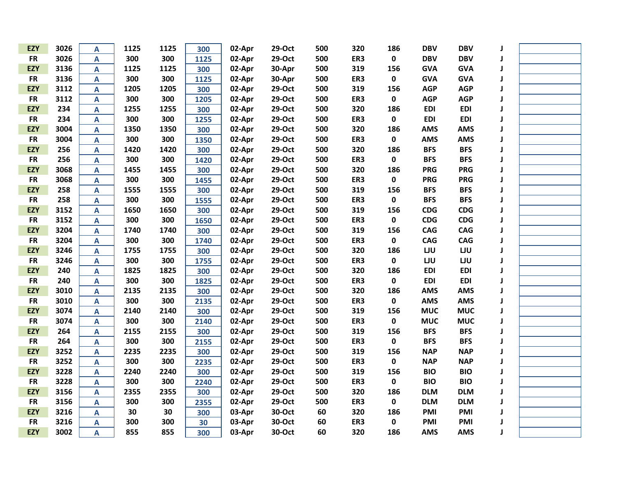| <b>EZY</b> | 3026 | A                         | 1125 | 1125 | 300  | 02-Apr | 29-Oct | 500 | 320 | 186         | <b>DBV</b> | <b>DBV</b> | J            |  |
|------------|------|---------------------------|------|------|------|--------|--------|-----|-----|-------------|------------|------------|--------------|--|
| <b>FR</b>  | 3026 | A                         | 300  | 300  | 1125 | 02-Apr | 29-Oct | 500 | ER3 | $\mathbf 0$ | <b>DBV</b> | <b>DBV</b> | J            |  |
| <b>EZY</b> | 3136 | $\mathbf{A}$              | 1125 | 1125 | 300  | 02-Apr | 30-Apr | 500 | 319 | 156         | <b>GVA</b> | <b>GVA</b> | J            |  |
| <b>FR</b>  | 3136 | A                         | 300  | 300  | 1125 | 02-Apr | 30-Apr | 500 | ER3 | $\pmb{0}$   | <b>GVA</b> | <b>GVA</b> | J            |  |
| <b>EZY</b> | 3112 | A                         | 1205 | 1205 | 300  | 02-Apr | 29-Oct | 500 | 319 | 156         | <b>AGP</b> | <b>AGP</b> | J            |  |
| <b>FR</b>  | 3112 | A                         | 300  | 300  | 1205 | 02-Apr | 29-Oct | 500 | ER3 | $\pmb{0}$   | <b>AGP</b> | <b>AGP</b> | J            |  |
| <b>EZY</b> | 234  | A                         | 1255 | 1255 | 300  | 02-Apr | 29-Oct | 500 | 320 | 186         | <b>EDI</b> | <b>EDI</b> | J            |  |
| <b>FR</b>  | 234  | A                         | 300  | 300  | 1255 | 02-Apr | 29-Oct | 500 | ER3 | $\pmb{0}$   | <b>EDI</b> | <b>EDI</b> | J            |  |
| <b>EZY</b> | 3004 | A                         | 1350 | 1350 | 300  | 02-Apr | 29-Oct | 500 | 320 | 186         | <b>AMS</b> | <b>AMS</b> | J            |  |
| <b>FR</b>  | 3004 | A                         | 300  | 300  | 1350 | 02-Apr | 29-Oct | 500 | ER3 | $\pmb{0}$   | <b>AMS</b> | <b>AMS</b> | J            |  |
| <b>EZY</b> | 256  | A                         | 1420 | 1420 | 300  | 02-Apr | 29-Oct | 500 | 320 | 186         | <b>BFS</b> | <b>BFS</b> | J            |  |
| <b>FR</b>  | 256  | A                         | 300  | 300  | 1420 | 02-Apr | 29-Oct | 500 | ER3 | $\pmb{0}$   | <b>BFS</b> | <b>BFS</b> | J            |  |
| <b>EZY</b> | 3068 | $\boldsymbol{\mathsf{A}}$ | 1455 | 1455 | 300  | 02-Apr | 29-Oct | 500 | 320 | 186         | <b>PRG</b> | <b>PRG</b> | J            |  |
| <b>FR</b>  | 3068 | $\boldsymbol{\mathsf{A}}$ | 300  | 300  | 1455 | 02-Apr | 29-Oct | 500 | ER3 | $\pmb{0}$   | <b>PRG</b> | <b>PRG</b> | $\mathbf{J}$ |  |
| <b>EZY</b> | 258  | $\boldsymbol{\mathsf{A}}$ | 1555 | 1555 | 300  | 02-Apr | 29-Oct | 500 | 319 | 156         | <b>BFS</b> | <b>BFS</b> | J            |  |
| <b>FR</b>  | 258  | A                         | 300  | 300  | 1555 | 02-Apr | 29-Oct | 500 | ER3 | $\pmb{0}$   | <b>BFS</b> | <b>BFS</b> | J            |  |
| <b>EZY</b> | 3152 | A                         | 1650 | 1650 | 300  | 02-Apr | 29-Oct | 500 | 319 | 156         | <b>CDG</b> | <b>CDG</b> | J            |  |
| <b>FR</b>  | 3152 | A                         | 300  | 300  | 1650 | 02-Apr | 29-Oct | 500 | ER3 | $\pmb{0}$   | <b>CDG</b> | <b>CDG</b> | J            |  |
| <b>EZY</b> | 3204 | A                         | 1740 | 1740 | 300  | 02-Apr | 29-Oct | 500 | 319 | 156         | <b>CAG</b> | <b>CAG</b> | J            |  |
| <b>FR</b>  | 3204 | A                         | 300  | 300  | 1740 | 02-Apr | 29-Oct | 500 | ER3 | $\pmb{0}$   | <b>CAG</b> | <b>CAG</b> | J            |  |
| <b>EZY</b> | 3246 | A                         | 1755 | 1755 | 300  | 02-Apr | 29-Oct | 500 | 320 | 186         | LJU        | LJU        | J            |  |
| <b>FR</b>  | 3246 | A                         | 300  | 300  | 1755 | 02-Apr | 29-Oct | 500 | ER3 | $\pmb{0}$   | LJU        | LJU        | J            |  |
| <b>EZY</b> | 240  | A                         | 1825 | 1825 | 300  | 02-Apr | 29-Oct | 500 | 320 | 186         | <b>EDI</b> | <b>EDI</b> | J            |  |
| <b>FR</b>  | 240  | A                         | 300  | 300  | 1825 | 02-Apr | 29-Oct | 500 | ER3 | $\mathbf 0$ | <b>EDI</b> | <b>EDI</b> | J            |  |
| <b>EZY</b> | 3010 | A                         | 2135 | 2135 | 300  | 02-Apr | 29-Oct | 500 | 320 | 186         | <b>AMS</b> | <b>AMS</b> | J            |  |
| <b>FR</b>  | 3010 | $\mathbf{A}$              | 300  | 300  | 2135 | 02-Apr | 29-Oct | 500 | ER3 | $\pmb{0}$   | <b>AMS</b> | <b>AMS</b> | J            |  |
| <b>EZY</b> | 3074 | A                         | 2140 | 2140 | 300  | 02-Apr | 29-Oct | 500 | 319 | 156         | <b>MUC</b> | <b>MUC</b> | J            |  |
| <b>FR</b>  | 3074 | A                         | 300  | 300  | 2140 | 02-Apr | 29-Oct | 500 | ER3 | $\pmb{0}$   | <b>MUC</b> | <b>MUC</b> | J            |  |
| <b>EZY</b> | 264  | A                         | 2155 | 2155 | 300  | 02-Apr | 29-Oct | 500 | 319 | 156         | <b>BFS</b> | <b>BFS</b> | J            |  |
| <b>FR</b>  | 264  | A                         | 300  | 300  | 2155 | 02-Apr | 29-Oct | 500 | ER3 | $\pmb{0}$   | <b>BFS</b> | <b>BFS</b> | J            |  |
| <b>EZY</b> | 3252 | A                         | 2235 | 2235 | 300  | 02-Apr | 29-Oct | 500 | 319 | 156         | <b>NAP</b> | <b>NAP</b> | J            |  |
| <b>FR</b>  | 3252 | $\mathbf{A}$              | 300  | 300  | 2235 | 02-Apr | 29-Oct | 500 | ER3 | $\pmb{0}$   | <b>NAP</b> | <b>NAP</b> | J            |  |
| <b>EZY</b> | 3228 | A                         | 2240 | 2240 | 300  | 02-Apr | 29-Oct | 500 | 319 | 156         | <b>BIO</b> | <b>BIO</b> | J            |  |
| <b>FR</b>  | 3228 | A                         | 300  | 300  | 2240 | 02-Apr | 29-Oct | 500 | ER3 | $\pmb{0}$   | <b>BIO</b> | <b>BIO</b> | J            |  |
| <b>EZY</b> | 3156 | $\mathbf{A}$              | 2355 | 2355 | 300  | 02-Apr | 29-Oct | 500 | 320 | 186         | <b>DLM</b> | <b>DLM</b> | J            |  |
| <b>FR</b>  | 3156 | $\boldsymbol{\mathsf{A}}$ | 300  | 300  | 2355 | 02-Apr | 29-Oct | 500 | ER3 | $\mathbf 0$ | <b>DLM</b> | <b>DLM</b> | J            |  |
| <b>EZY</b> | 3216 | A                         | 30   | 30   | 300  | 03-Apr | 30-Oct | 60  | 320 | 186         | PMI        | PMI        | J            |  |
| <b>FR</b>  | 3216 | $\boldsymbol{\mathsf{A}}$ | 300  | 300  | 30   | 03-Apr | 30-Oct | 60  | ER3 | $\pmb{0}$   | PMI        | PMI        | J            |  |
| <b>EZY</b> | 3002 | A                         | 855  | 855  | 300  | 03-Apr | 30-Oct | 60  | 320 | 186         | AMS        | <b>AMS</b> | J            |  |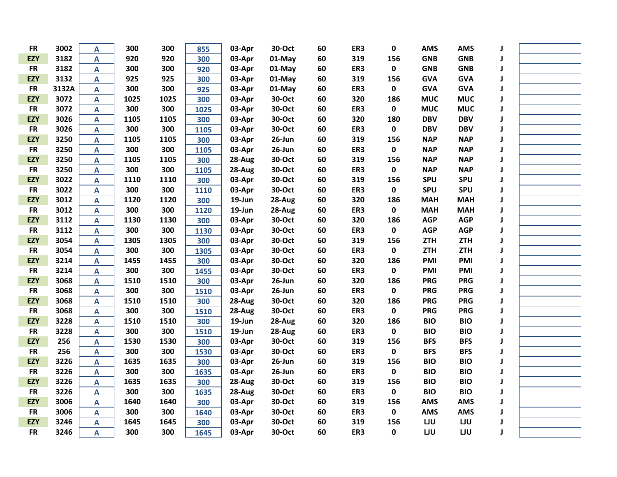| <b>FR</b>  | 3002  | A                         | 300  | 300  | 855  | 03-Apr | 30-Oct    | 60 | ER3 | 0           | <b>AMS</b> | <b>AMS</b> | J            |  |
|------------|-------|---------------------------|------|------|------|--------|-----------|----|-----|-------------|------------|------------|--------------|--|
| <b>EZY</b> | 3182  | $\mathbf{A}$              | 920  | 920  | 300  | 03-Apr | $01$ -May | 60 | 319 | 156         | <b>GNB</b> | <b>GNB</b> | J            |  |
| <b>FR</b>  | 3182  | $\overline{\mathsf{A}}$   | 300  | 300  | 920  | 03-Apr | 01-May    | 60 | ER3 | 0           | <b>GNB</b> | <b>GNB</b> | J            |  |
| <b>EZY</b> | 3132  | $\mathbf{A}$              | 925  | 925  | 300  | 03-Apr | 01-May    | 60 | 319 | 156         | <b>GVA</b> | <b>GVA</b> | J            |  |
| <b>FR</b>  | 3132A | A                         | 300  | 300  | 925  | 03-Apr | 01-May    | 60 | ER3 | 0           | <b>GVA</b> | <b>GVA</b> | J            |  |
| <b>EZY</b> | 3072  | A                         | 1025 | 1025 | 300  | 03-Apr | 30-Oct    | 60 | 320 | 186         | <b>MUC</b> | <b>MUC</b> | J            |  |
| <b>FR</b>  | 3072  | $\mathbf{A}$              | 300  | 300  | 1025 | 03-Apr | 30-Oct    | 60 | ER3 | 0           | <b>MUC</b> | <b>MUC</b> | J            |  |
| <b>EZY</b> | 3026  | $\mathbf{A}$              | 1105 | 1105 | 300  | 03-Apr | 30-Oct    | 60 | 320 | 180         | <b>DBV</b> | <b>DBV</b> | J            |  |
| <b>FR</b>  | 3026  | A                         | 300  | 300  | 1105 | 03-Apr | 30-Oct    | 60 | ER3 | $\pmb{0}$   | <b>DBV</b> | <b>DBV</b> | J            |  |
| <b>EZY</b> | 3250  | A                         | 1105 | 1105 | 300  | 03-Apr | 26-Jun    | 60 | 319 | 156         | <b>NAP</b> | <b>NAP</b> | J            |  |
| <b>FR</b>  | 3250  | A                         | 300  | 300  | 1105 | 03-Apr | 26-Jun    | 60 | ER3 | 0           | <b>NAP</b> | <b>NAP</b> | J            |  |
| <b>EZY</b> | 3250  | $\mathbf{A}$              | 1105 | 1105 | 300  | 28-Aug | 30-Oct    | 60 | 319 | 156         | <b>NAP</b> | <b>NAP</b> | J            |  |
| <b>FR</b>  | 3250  | $\overline{\mathsf{A}}$   | 300  | 300  | 1105 | 28-Aug | 30-Oct    | 60 | ER3 | 0           | <b>NAP</b> | <b>NAP</b> | J            |  |
| <b>EZY</b> | 3022  | $\boldsymbol{\mathsf{A}}$ | 1110 | 1110 | 300  | 03-Apr | 30-Oct    | 60 | 319 | 156         | <b>SPU</b> | <b>SPU</b> | J            |  |
| <b>FR</b>  | 3022  | $\mathbf{A}$              | 300  | 300  | 1110 | 03-Apr | 30-Oct    | 60 | ER3 | $\mathbf 0$ | <b>SPU</b> | <b>SPU</b> | J            |  |
| <b>EZY</b> | 3012  | $\mathbf{A}$              | 1120 | 1120 | 300  | 19-Jun | 28-Aug    | 60 | 320 | 186         | <b>MAH</b> | <b>MAH</b> | J            |  |
| <b>FR</b>  | 3012  | $\mathbf{A}$              | 300  | 300  | 1120 | 19-Jun | 28-Aug    | 60 | ER3 | 0           | <b>MAH</b> | <b>MAH</b> | $\mathbf{J}$ |  |
| <b>EZY</b> | 3112  | $\pmb{\mathsf{A}}$        | 1130 | 1130 | 300  | 03-Apr | 30-Oct    | 60 | 320 | 186         | <b>AGP</b> | <b>AGP</b> | J            |  |
| <b>FR</b>  | 3112  | $\mathbf{A}$              | 300  | 300  | 1130 | 03-Apr | 30-Oct    | 60 | ER3 | $\mathbf 0$ | <b>AGP</b> | <b>AGP</b> | J            |  |
| <b>EZY</b> | 3054  | $\mathbf{A}$              | 1305 | 1305 | 300  | 03-Apr | 30-Oct    | 60 | 319 | 156         | <b>ZTH</b> | <b>ZTH</b> | J            |  |
| <b>FR</b>  | 3054  | A                         | 300  | 300  | 1305 | 03-Apr | 30-Oct    | 60 | ER3 | 0           | <b>ZTH</b> | <b>ZTH</b> | J            |  |
| <b>EZY</b> | 3214  | A                         | 1455 | 1455 | 300  | 03-Apr | 30-Oct    | 60 | 320 | 186         | PMI        | <b>PMI</b> | J            |  |
| <b>FR</b>  | 3214  | A                         | 300  | 300  | 1455 | 03-Apr | 30-Oct    | 60 | ER3 | 0           | PMI        | <b>PMI</b> | J            |  |
| <b>EZY</b> | 3068  | $\mathbf{A}$              | 1510 | 1510 | 300  | 03-Apr | 26-Jun    | 60 | 320 | 186         | <b>PRG</b> | <b>PRG</b> | J            |  |
| <b>FR</b>  | 3068  | $\mathbf{A}$              | 300  | 300  | 1510 | 03-Apr | 26-Jun    | 60 | ER3 | $\mathbf 0$ | <b>PRG</b> | <b>PRG</b> | J            |  |
| <b>EZY</b> | 3068  | $\overline{\mathsf{A}}$   | 1510 | 1510 | 300  | 28-Aug | 30-Oct    | 60 | 320 | 186         | <b>PRG</b> | <b>PRG</b> | J            |  |
| <b>FR</b>  | 3068  | A                         | 300  | 300  | 1510 | 28-Aug | 30-Oct    | 60 | ER3 | 0           | <b>PRG</b> | <b>PRG</b> | J            |  |
| <b>EZY</b> | 3228  | A                         | 1510 | 1510 | 300  | 19-Jun | 28-Aug    | 60 | 320 | 186         | <b>BIO</b> | <b>BIO</b> | J            |  |
| <b>FR</b>  | 3228  | $\mathbf{A}$              | 300  | 300  | 1510 | 19-Jun | 28-Aug    | 60 | ER3 | $\pmb{0}$   | <b>BIO</b> | <b>BIO</b> | J            |  |
| <b>EZY</b> | 256   | $\overline{\mathsf{A}}$   | 1530 | 1530 | 300  | 03-Apr | 30-Oct    | 60 | 319 | 156         | <b>BFS</b> | <b>BFS</b> | J            |  |
| <b>FR</b>  | 256   | $\overline{\mathsf{A}}$   | 300  | 300  | 1530 | 03-Apr | 30-Oct    | 60 | ER3 | $\pmb{0}$   | <b>BFS</b> | <b>BFS</b> | $\mathbf{I}$ |  |
| <b>EZY</b> | 3226  | A                         | 1635 | 1635 | 300  | 03-Apr | 26-Jun    | 60 | 319 | 156         | <b>BIO</b> | <b>BIO</b> | $\mathbf{I}$ |  |
| <b>FR</b>  | 3226  | A                         | 300  | 300  | 1635 | 03-Apr | 26-Jun    | 60 | ER3 | $\pmb{0}$   | <b>BIO</b> | <b>BIO</b> | $\mathbf{I}$ |  |
| <b>EZY</b> | 3226  | A                         | 1635 | 1635 | 300  | 28-Aug | 30-Oct    | 60 | 319 | 156         | <b>BIO</b> | <b>BIO</b> | $\mathbf{I}$ |  |
| <b>FR</b>  | 3226  | $\mathbf{A}$              | 300  | 300  | 1635 | 28-Aug | 30-Oct    | 60 | ER3 | 0           | <b>BIO</b> | <b>BIO</b> | J            |  |
| <b>EZY</b> | 3006  | $\overline{\mathsf{A}}$   | 1640 | 1640 | 300  | 03-Apr | 30-Oct    | 60 | 319 | 156         | <b>AMS</b> | <b>AMS</b> | J            |  |
| <b>FR</b>  | 3006  | $\mathbf{A}$              | 300  | 300  | 1640 | 03-Apr | 30-Oct    | 60 | ER3 | $\mathbf 0$ | <b>AMS</b> | <b>AMS</b> | J            |  |
| <b>EZY</b> | 3246  | $\mathbf{A}$              | 1645 | 1645 | 300  | 03-Apr | 30-Oct    | 60 | 319 | 156         | LJU        | LJU        | J            |  |
| <b>FR</b>  | 3246  | A                         | 300  | 300  | 1645 | 03-Apr | 30-Oct    | 60 | ER3 | 0           | LJU        | LJU        | $\mathbf{J}$ |  |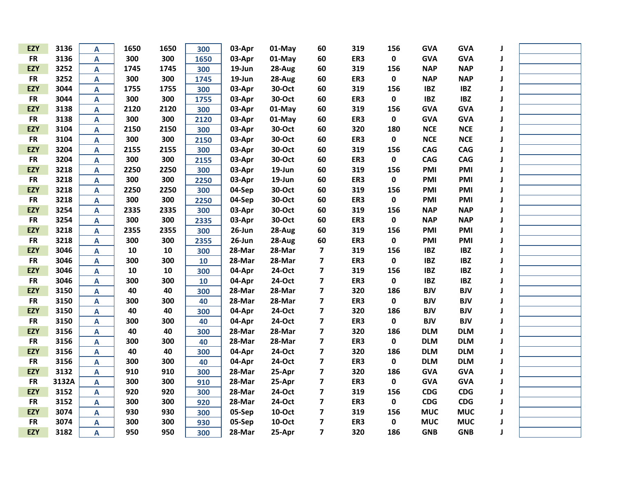| <b>EZY</b> | 3136  | А                         | 1650 | 1650 | 300  | 03-Apr    | 01-May | 60                      | 319 | 156         | <b>GVA</b> | <b>GVA</b> |   |  |
|------------|-------|---------------------------|------|------|------|-----------|--------|-------------------------|-----|-------------|------------|------------|---|--|
| <b>FR</b>  | 3136  | A                         | 300  | 300  | 1650 | 03-Apr    | 01-May | 60                      | ER3 | $\pmb{0}$   | <b>GVA</b> | <b>GVA</b> |   |  |
| <b>EZY</b> | 3252  | A                         | 1745 | 1745 | 300  | 19-Jun    | 28-Aug | 60                      | 319 | 156         | <b>NAP</b> | <b>NAP</b> | J |  |
| <b>FR</b>  | 3252  | A                         | 300  | 300  | 1745 | 19-Jun    | 28-Aug | 60                      | ER3 | $\pmb{0}$   | <b>NAP</b> | <b>NAP</b> |   |  |
| <b>EZY</b> | 3044  | A                         | 1755 | 1755 | 300  | 03-Apr    | 30-Oct | 60                      | 319 | 156         | <b>IBZ</b> | <b>IBZ</b> |   |  |
| <b>FR</b>  | 3044  | A                         | 300  | 300  | 1755 | 03-Apr    | 30-Oct | 60                      | ER3 | $\pmb{0}$   | <b>IBZ</b> | <b>IBZ</b> |   |  |
| <b>EZY</b> | 3138  | A                         | 2120 | 2120 | 300  | 03-Apr    | 01-May | 60                      | 319 | 156         | <b>GVA</b> | <b>GVA</b> | J |  |
| <b>FR</b>  | 3138  | $\overline{\mathsf{A}}$   | 300  | 300  | 2120 | 03-Apr    | 01-May | 60                      | ER3 | $\pmb{0}$   | <b>GVA</b> | <b>GVA</b> | J |  |
| <b>EZY</b> | 3104  | $\boldsymbol{\mathsf{A}}$ | 2150 | 2150 | 300  | 03-Apr    | 30-Oct | 60                      | 320 | 180         | <b>NCE</b> | <b>NCE</b> | J |  |
| <b>FR</b>  | 3104  | A                         | 300  | 300  | 2150 | 03-Apr    | 30-Oct | 60                      | ER3 | $\pmb{0}$   | <b>NCE</b> | <b>NCE</b> | J |  |
| <b>EZY</b> | 3204  | A                         | 2155 | 2155 | 300  | 03-Apr    | 30-Oct | 60                      | 319 | 156         | <b>CAG</b> | <b>CAG</b> | J |  |
| <b>FR</b>  | 3204  | A                         | 300  | 300  | 2155 | 03-Apr    | 30-Oct | 60                      | ER3 | $\pmb{0}$   | <b>CAG</b> | <b>CAG</b> | J |  |
| <b>EZY</b> | 3218  | A                         | 2250 | 2250 | 300  | 03-Apr    | 19-Jun | 60                      | 319 | 156         | PMI        | PMI        | J |  |
| <b>FR</b>  | 3218  | A                         | 300  | 300  | 2250 | 03-Apr    | 19-Jun | 60                      | ER3 | $\mathbf 0$ | <b>PMI</b> | PMI        | J |  |
| <b>EZY</b> | 3218  | A                         | 2250 | 2250 | 300  | 04-Sep    | 30-Oct | 60                      | 319 | 156         | PMI        | <b>PMI</b> | J |  |
| <b>FR</b>  | 3218  | A                         | 300  | 300  | 2250 | 04-Sep    | 30-Oct | 60                      | ER3 | 0           | PMI        | PMI        |   |  |
| <b>EZY</b> | 3254  | A                         | 2335 | 2335 | 300  | 03-Apr    | 30-Oct | 60                      | 319 | 156         | <b>NAP</b> | <b>NAP</b> | J |  |
| <b>FR</b>  | 3254  | $\mathbf{A}$              | 300  | 300  | 2335 | 03-Apr    | 30-Oct | 60                      | ER3 | 0           | <b>NAP</b> | <b>NAP</b> | J |  |
| <b>EZY</b> | 3218  | $\boldsymbol{\mathsf{A}}$ | 2355 | 2355 | 300  | $26$ -Jun | 28-Aug | 60                      | 319 | 156         | PMI        | PMI        | J |  |
| <b>FR</b>  | 3218  | A                         | 300  | 300  | 2355 | $26$ -Jun | 28-Aug | 60                      | ER3 | $\mathbf 0$ | <b>PMI</b> | PMI        | J |  |
| <b>EZY</b> | 3046  | A                         | 10   | 10   | 300  | 28-Mar    | 28-Mar | $\overline{\mathbf{z}}$ | 319 | 156         | <b>IBZ</b> | <b>IBZ</b> | J |  |
| <b>FR</b>  | 3046  | A                         | 300  | 300  | 10   | 28-Mar    | 28-Mar | $\overline{\mathbf{z}}$ | ER3 | $\mathbf 0$ | <b>IBZ</b> | <b>IBZ</b> | J |  |
| <b>EZY</b> | 3046  | A                         | 10   | 10   | 300  | 04-Apr    | 24-Oct | $\overline{\mathbf{z}}$ | 319 | 156         | <b>IBZ</b> | <b>IBZ</b> | J |  |
| <b>FR</b>  | 3046  | A                         | 300  | 300  | 10   | 04-Apr    | 24-Oct | $\overline{\mathbf{z}}$ | ER3 | $\pmb{0}$   | <b>IBZ</b> | <b>IBZ</b> | J |  |
| <b>EZY</b> | 3150  | A                         | 40   | 40   | 300  | 28-Mar    | 28-Mar | $\overline{\mathbf{z}}$ | 320 | 186         | <b>BJV</b> | <b>BJV</b> |   |  |
| <b>FR</b>  | 3150  | A                         | 300  | 300  | 40   | 28-Mar    | 28-Mar | $\overline{\mathbf{z}}$ | ER3 | $\pmb{0}$   | <b>BJV</b> | <b>BJV</b> |   |  |
| <b>EZY</b> | 3150  | $\overline{\mathsf{A}}$   | 40   | 40   | 300  | 04-Apr    | 24-Oct | $\overline{\mathbf{z}}$ | 320 | 186         | <b>BJV</b> | <b>BJV</b> |   |  |
| <b>FR</b>  | 3150  | A                         | 300  | 300  | 40   | 04-Apr    | 24-Oct | $\overline{\mathbf{z}}$ | ER3 | 0           | <b>BJV</b> | <b>BJV</b> |   |  |
| <b>EZY</b> | 3156  | A                         | 40   | 40   | 300  | 28-Mar    | 28-Mar | $\overline{\mathbf{z}}$ | 320 | 186         | <b>DLM</b> | <b>DLM</b> | J |  |
| <b>FR</b>  | 3156  | A                         | 300  | 300  | 40   | 28-Mar    | 28-Mar | $\overline{\mathbf{z}}$ | ER3 | 0           | <b>DLM</b> | <b>DLM</b> | J |  |
| <b>EZY</b> | 3156  | $\overline{\mathsf{A}}$   | 40   | 40   | 300  | 04-Apr    | 24-Oct | $\overline{\mathbf{z}}$ | 320 | 186         | <b>DLM</b> | <b>DLM</b> | J |  |
| <b>FR</b>  | 3156  | $\boldsymbol{\mathsf{A}}$ | 300  | 300  | 40   | 04-Apr    | 24-Oct | $\overline{\mathbf{z}}$ | ER3 | $\pmb{0}$   | <b>DLM</b> | <b>DLM</b> | J |  |
| <b>EZY</b> | 3132  | $\boldsymbol{\mathsf{A}}$ | 910  | 910  | 300  | 28-Mar    | 25-Apr | $\overline{\mathbf{z}}$ | 320 | 186         | <b>GVA</b> | <b>GVA</b> | J |  |
| <b>FR</b>  | 3132A | A                         | 300  | 300  | 910  | 28-Mar    | 25-Apr | $\overline{\mathbf{z}}$ | ER3 | $\pmb{0}$   | <b>GVA</b> | <b>GVA</b> | J |  |
| <b>EZY</b> | 3152  | A                         | 920  | 920  | 300  | 28-Mar    | 24-Oct | $\overline{\mathbf{z}}$ | 319 | 156         | <b>CDG</b> | <b>CDG</b> | J |  |
| <b>FR</b>  | 3152  | A                         | 300  | 300  | 920  | 28-Mar    | 24-Oct | $\overline{\mathbf{z}}$ | ER3 | $\mathbf 0$ | <b>CDG</b> | <b>CDG</b> | J |  |
| <b>EZY</b> | 3074  | A                         | 930  | 930  | 300  | 05-Sep    | 10-Oct | $\overline{\mathbf{z}}$ | 319 | 156         | <b>MUC</b> | <b>MUC</b> | J |  |
| <b>FR</b>  | 3074  | A                         | 300  | 300  | 930  | 05-Sep    | 10-Oct | $\overline{\mathbf{z}}$ | ER3 | $\pmb{0}$   | <b>MUC</b> | <b>MUC</b> | J |  |
| <b>EZY</b> | 3182  | A                         | 950  | 950  | 300  | 28-Mar    | 25-Apr | $\overline{\mathbf{z}}$ | 320 | 186         | <b>GNB</b> | <b>GNB</b> | J |  |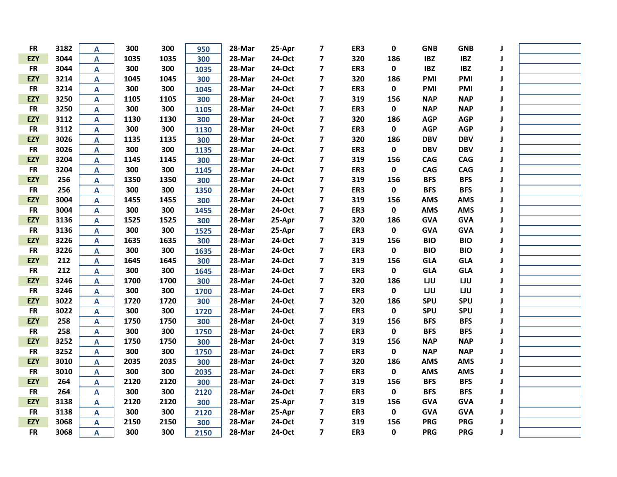| <b>FR</b>  | 3182 | A                         | 300  | 300  | 950  | 28-Mar | 25-Apr | 7                       | ER3 | 0         | <b>GNB</b> | <b>GNB</b> |   |  |
|------------|------|---------------------------|------|------|------|--------|--------|-------------------------|-----|-----------|------------|------------|---|--|
| <b>EZY</b> | 3044 | A                         | 1035 | 1035 | 300  | 28-Mar | 24-Oct | $\overline{\mathbf{z}}$ | 320 | 186       | <b>IBZ</b> | <b>IBZ</b> |   |  |
| <b>FR</b>  | 3044 | A                         | 300  | 300  | 1035 | 28-Mar | 24-Oct | $\overline{\mathbf{z}}$ | ER3 | $\pmb{0}$ | <b>IBZ</b> | <b>IBZ</b> |   |  |
| <b>EZY</b> | 3214 | A                         | 1045 | 1045 | 300  | 28-Mar | 24-Oct | $\overline{\mathbf{z}}$ | 320 | 186       | PMI        | PMI        | J |  |
| <b>FR</b>  | 3214 | $\mathsf{A}$              | 300  | 300  | 1045 | 28-Mar | 24-Oct | 7                       | ER3 | 0         | PMI        | PMI        | J |  |
| <b>EZY</b> | 3250 | $\mathsf{A}$              | 1105 | 1105 | 300  | 28-Mar | 24-Oct | $\overline{\mathbf{z}}$ | 319 | 156       | <b>NAP</b> | <b>NAP</b> | J |  |
| <b>FR</b>  | 3250 | $\boldsymbol{\mathsf{A}}$ | 300  | 300  | 1105 | 28-Mar | 24-Oct | $\overline{\mathbf{z}}$ | ER3 | 0         | <b>NAP</b> | <b>NAP</b> | J |  |
| <b>EZY</b> | 3112 | $\mathsf{A}$              | 1130 | 1130 | 300  | 28-Mar | 24-Oct | $\overline{\mathbf{z}}$ | 320 | 186       | <b>AGP</b> | <b>AGP</b> | J |  |
| <b>FR</b>  | 3112 | A                         | 300  | 300  | 1130 | 28-Mar | 24-Oct | $\overline{\mathbf{z}}$ | ER3 | 0         | <b>AGP</b> | <b>AGP</b> | J |  |
| <b>EZY</b> | 3026 | A                         | 1135 | 1135 | 300  | 28-Mar | 24-Oct | $\overline{\mathbf{z}}$ | 320 | 186       | <b>DBV</b> | <b>DBV</b> | J |  |
| <b>FR</b>  | 3026 | A                         | 300  | 300  | 1135 | 28-Mar | 24-Oct | 7                       | ER3 | 0         | <b>DBV</b> | <b>DBV</b> | J |  |
| <b>EZY</b> | 3204 | A                         | 1145 | 1145 | 300  | 28-Mar | 24-Oct | $\overline{\mathbf{z}}$ | 319 | 156       | <b>CAG</b> | CAG        | J |  |
| <b>FR</b>  | 3204 | $\mathsf{A}$              | 300  | 300  | 1145 | 28-Mar | 24-Oct | $\overline{\mathbf{z}}$ | ER3 | 0         | <b>CAG</b> | <b>CAG</b> | J |  |
| <b>EZY</b> | 256  | $\mathsf{A}$              | 1350 | 1350 | 300  | 28-Mar | 24-Oct | $\overline{\mathbf{z}}$ | 319 | 156       | <b>BFS</b> | <b>BFS</b> | J |  |
| <b>FR</b>  | 256  | A                         | 300  | 300  | 1350 | 28-Mar | 24-Oct | $\overline{\mathbf{z}}$ | ER3 | 0         | <b>BFS</b> | <b>BFS</b> | J |  |
| <b>EZY</b> | 3004 | $\mathsf{A}$              | 1455 | 1455 | 300  | 28-Mar | 24-Oct | $\overline{\mathbf{z}}$ | 319 | 156       | <b>AMS</b> | <b>AMS</b> | J |  |
| <b>FR</b>  | 3004 | A                         | 300  | 300  | 1455 | 28-Mar | 24-Oct | 7                       | ER3 | 0         | <b>AMS</b> | <b>AMS</b> | J |  |
| <b>EZY</b> | 3136 | $\mathsf{A}$              | 1525 | 1525 | 300  | 28-Mar | 25-Apr | 7                       | 320 | 186       | <b>GVA</b> | <b>GVA</b> | J |  |
| <b>FR</b>  | 3136 | $\boldsymbol{\mathsf{A}}$ | 300  | 300  | 1525 | 28-Mar | 25-Apr | $\overline{\mathbf{z}}$ | ER3 | 0         | <b>GVA</b> | <b>GVA</b> | J |  |
| <b>EZY</b> | 3226 | $\boldsymbol{\mathsf{A}}$ | 1635 | 1635 | 300  | 28-Mar | 24-Oct | $\overline{\mathbf{z}}$ | 319 | 156       | <b>BIO</b> | <b>BIO</b> |   |  |
| <b>FR</b>  | 3226 | A                         | 300  | 300  | 1635 | 28-Mar | 24-Oct | $\overline{\mathbf{z}}$ | ER3 | 0         | <b>BIO</b> | <b>BIO</b> | J |  |
| <b>EZY</b> | 212  | A                         | 1645 | 1645 | 300  | 28-Mar | 24-Oct | $\overline{\mathbf{z}}$ | 319 | 156       | <b>GLA</b> | <b>GLA</b> | J |  |
| <b>FR</b>  | 212  | A                         | 300  | 300  | 1645 | 28-Mar | 24-Oct | $\overline{\mathbf{z}}$ | ER3 | 0         | <b>GLA</b> | <b>GLA</b> | J |  |
| <b>EZY</b> | 3246 | $\mathsf{A}$              | 1700 | 1700 | 300  | 28-Mar | 24-Oct | $\overline{\mathbf{z}}$ | 320 | 186       | LJU        | LJU        | J |  |
| <b>FR</b>  | 3246 | $\boldsymbol{\mathsf{A}}$ | 300  | 300  | 1700 | 28-Mar | 24-Oct | $\overline{\mathbf{z}}$ | ER3 | $\pmb{0}$ | LJU        | LJU        | J |  |
| <b>EZY</b> | 3022 | $\mathbf{A}$              | 1720 | 1720 | 300  | 28-Mar | 24-Oct | $\overline{\mathbf{z}}$ | 320 | 186       | <b>SPU</b> | <b>SPU</b> |   |  |
| <b>FR</b>  | 3022 | $\boldsymbol{\mathsf{A}}$ | 300  | 300  | 1720 | 28-Mar | 24-Oct | $\overline{\mathbf{z}}$ | ER3 | 0         | SPU        | SPU        |   |  |
| <b>EZY</b> | 258  | $\boldsymbol{\mathsf{A}}$ | 1750 | 1750 | 300  | 28-Mar | 24-Oct | $\overline{\mathbf{z}}$ | 319 | 156       | <b>BFS</b> | <b>BFS</b> | J |  |
| <b>FR</b>  | 258  | $\overline{\mathsf{A}}$   | 300  | 300  | 1750 | 28-Mar | 24-Oct | $\overline{\mathbf{z}}$ | ER3 | 0         | <b>BFS</b> | <b>BFS</b> | J |  |
| <b>EZY</b> | 3252 | $\mathsf{A}$              | 1750 | 1750 | 300  | 28-Mar | 24-Oct | $\overline{\mathbf{z}}$ | 319 | 156       | <b>NAP</b> | <b>NAP</b> | J |  |
| <b>FR</b>  | 3252 | $\boldsymbol{\mathsf{A}}$ | 300  | 300  | 1750 | 28-Mar | 24-Oct | $\overline{\mathbf{z}}$ | ER3 | 0         | <b>NAP</b> | <b>NAP</b> | J |  |
| <b>EZY</b> | 3010 | A                         | 2035 | 2035 | 300  | 28-Mar | 24-Oct | $\overline{\mathbf{z}}$ | 320 | 186       | <b>AMS</b> | <b>AMS</b> | J |  |
| <b>FR</b>  | 3010 | A                         | 300  | 300  | 2035 | 28-Mar | 24-Oct | $\overline{\mathbf{z}}$ | ER3 | $\pmb{0}$ | <b>AMS</b> | <b>AMS</b> | J |  |
| <b>EZY</b> | 264  | A                         | 2120 | 2120 | 300  | 28-Mar | 24-Oct | $\overline{\mathbf{z}}$ | 319 | 156       | <b>BFS</b> | <b>BFS</b> | J |  |
| <b>FR</b>  | 264  | A                         | 300  | 300  | 2120 | 28-Mar | 24-Oct | $\overline{\mathbf{z}}$ | ER3 | 0         | <b>BFS</b> | <b>BFS</b> | J |  |
| <b>EZY</b> | 3138 | $\mathbf{A}$              | 2120 | 2120 | 300  | 28-Mar | 25-Apr | $\overline{\mathbf{z}}$ | 319 | 156       | <b>GVA</b> | <b>GVA</b> | J |  |
| <b>FR</b>  | 3138 | A                         | 300  | 300  | 2120 | 28-Mar | 25-Apr | $\overline{\mathbf{z}}$ | ER3 | 0         | <b>GVA</b> | <b>GVA</b> | J |  |
| <b>EZY</b> | 3068 | A                         | 2150 | 2150 | 300  | 28-Mar | 24-Oct | $\overline{\mathbf{z}}$ | 319 | 156       | <b>PRG</b> | <b>PRG</b> |   |  |
| <b>FR</b>  | 3068 | A                         | 300  | 300  | 2150 | 28-Mar | 24-Oct | $\overline{\mathbf{z}}$ | ER3 | 0         | <b>PRG</b> | <b>PRG</b> | J |  |